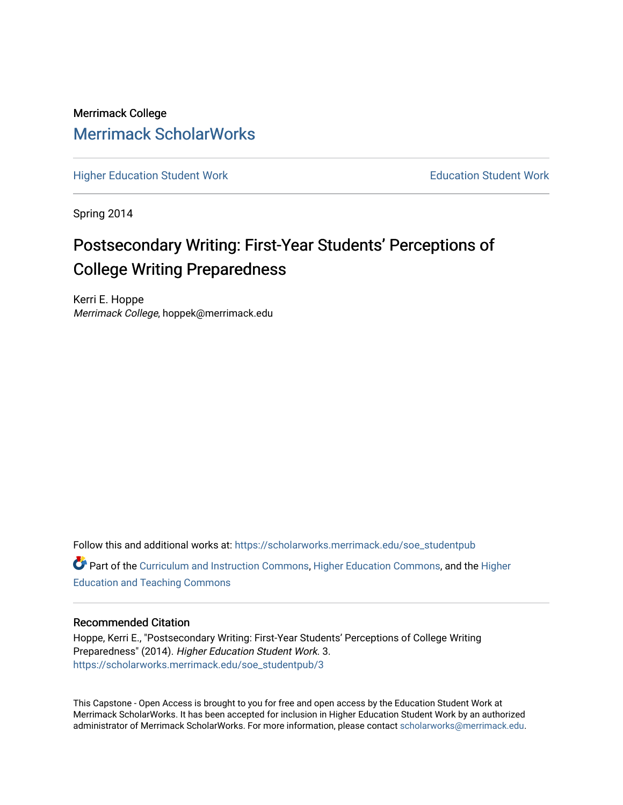Merrimack College [Merrimack ScholarWorks](https://scholarworks.merrimack.edu/) 

[Higher Education Student Work](https://scholarworks.merrimack.edu/soe_studentpub) **Education Student Work** Education Student Work

Spring 2014

# Postsecondary Writing: First-Year Students' Perceptions of College Writing Preparedness

Kerri E. Hoppe Merrimack College, hoppek@merrimack.edu

Follow this and additional works at: [https://scholarworks.merrimack.edu/soe\\_studentpub](https://scholarworks.merrimack.edu/soe_studentpub?utm_source=scholarworks.merrimack.edu%2Fsoe_studentpub%2F3&utm_medium=PDF&utm_campaign=PDFCoverPages)  Part of the [Curriculum and Instruction Commons,](http://network.bepress.com/hgg/discipline/786?utm_source=scholarworks.merrimack.edu%2Fsoe_studentpub%2F3&utm_medium=PDF&utm_campaign=PDFCoverPages) [Higher Education Commons,](http://network.bepress.com/hgg/discipline/1245?utm_source=scholarworks.merrimack.edu%2Fsoe_studentpub%2F3&utm_medium=PDF&utm_campaign=PDFCoverPages) and the [Higher](http://network.bepress.com/hgg/discipline/806?utm_source=scholarworks.merrimack.edu%2Fsoe_studentpub%2F3&utm_medium=PDF&utm_campaign=PDFCoverPages) [Education and Teaching Commons](http://network.bepress.com/hgg/discipline/806?utm_source=scholarworks.merrimack.edu%2Fsoe_studentpub%2F3&utm_medium=PDF&utm_campaign=PDFCoverPages) 

## Recommended Citation

Hoppe, Kerri E., "Postsecondary Writing: First-Year Students' Perceptions of College Writing Preparedness" (2014). Higher Education Student Work. 3. [https://scholarworks.merrimack.edu/soe\\_studentpub/3](https://scholarworks.merrimack.edu/soe_studentpub/3?utm_source=scholarworks.merrimack.edu%2Fsoe_studentpub%2F3&utm_medium=PDF&utm_campaign=PDFCoverPages) 

This Capstone - Open Access is brought to you for free and open access by the Education Student Work at Merrimack ScholarWorks. It has been accepted for inclusion in Higher Education Student Work by an authorized administrator of Merrimack ScholarWorks. For more information, please contact [scholarworks@merrimack.edu](mailto:scholarworks@merrimack.edu).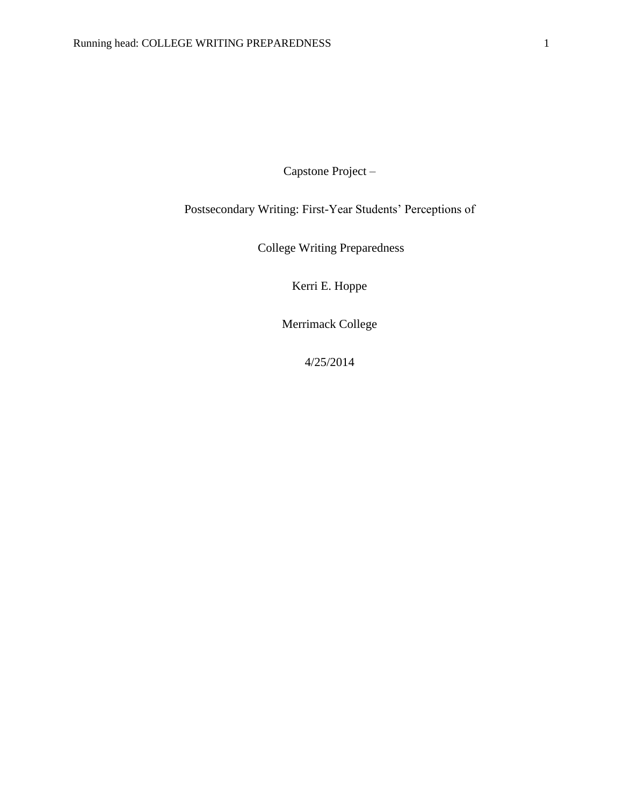Capstone Project –

Postsecondary Writing: First-Year Students' Perceptions of

College Writing Preparedness

Kerri E. Hoppe

Merrimack College

4/25/2014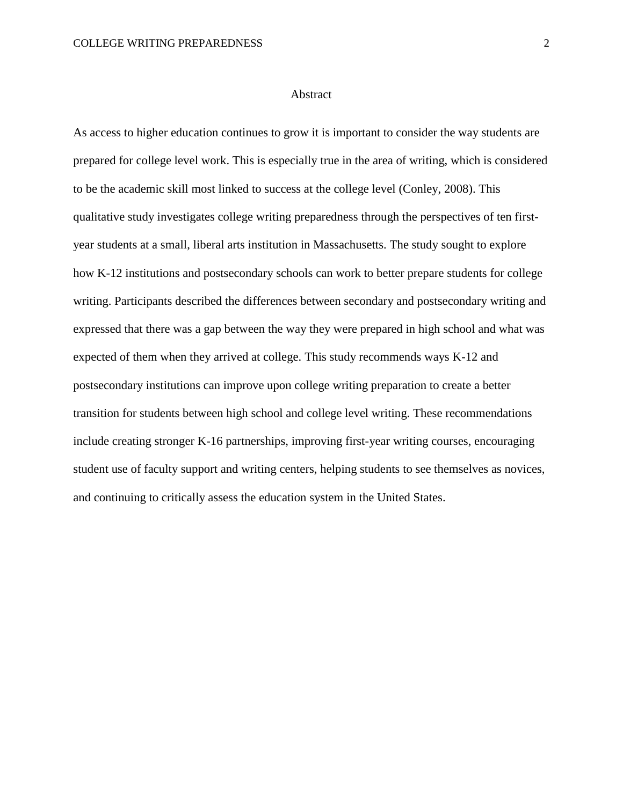As access to higher education continues to grow it is important to consider the way students are prepared for college level work. This is especially true in the area of writing, which is considered to be the academic skill most linked to success at the college level (Conley, 2008). This qualitative study investigates college writing preparedness through the perspectives of ten firstyear students at a small, liberal arts institution in Massachusetts. The study sought to explore how K-12 institutions and postsecondary schools can work to better prepare students for college writing. Participants described the differences between secondary and postsecondary writing and expressed that there was a gap between the way they were prepared in high school and what was expected of them when they arrived at college. This study recommends ways K-12 and postsecondary institutions can improve upon college writing preparation to create a better transition for students between high school and college level writing. These recommendations include creating stronger K-16 partnerships, improving first-year writing courses, encouraging student use of faculty support and writing centers, helping students to see themselves as novices, and continuing to critically assess the education system in the United States.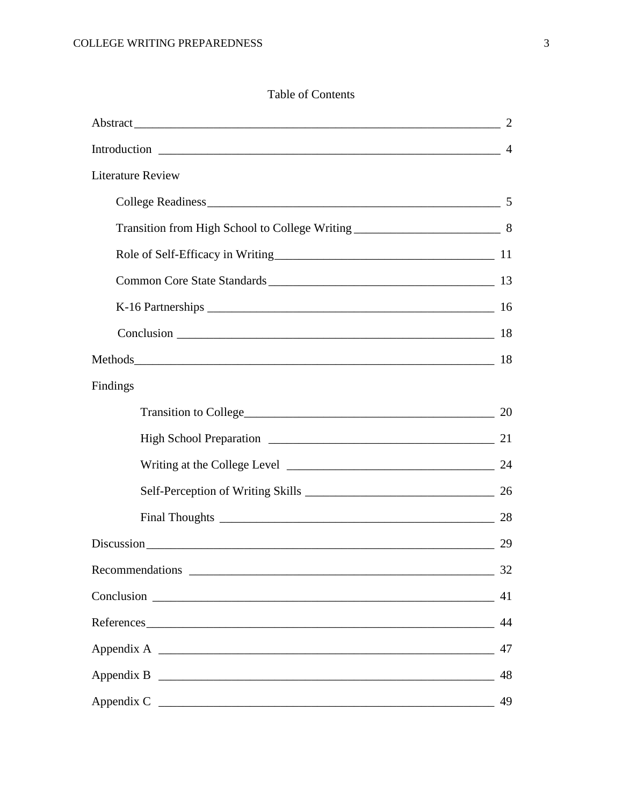# Table of Contents

|                                                                                                                                         | $\overline{2}$ |
|-----------------------------------------------------------------------------------------------------------------------------------------|----------------|
|                                                                                                                                         |                |
| <b>Literature Review</b>                                                                                                                |                |
|                                                                                                                                         |                |
|                                                                                                                                         |                |
|                                                                                                                                         |                |
|                                                                                                                                         |                |
|                                                                                                                                         |                |
|                                                                                                                                         |                |
| Methods 18                                                                                                                              |                |
| Findings                                                                                                                                |                |
|                                                                                                                                         |                |
|                                                                                                                                         |                |
|                                                                                                                                         |                |
| Self-Perception of Writing Skills 26                                                                                                    |                |
| Final Thoughts 28                                                                                                                       |                |
|                                                                                                                                         | 29             |
| Recommendations<br><u> 1980 - Jan Barat, margaret eta bat zuen bat zuen bat zuen bat zuen bat zuen bat zuen bat zuen bat zuen bat z</u> | $-32$          |
|                                                                                                                                         | 41             |
|                                                                                                                                         | 44             |
|                                                                                                                                         | 47             |
|                                                                                                                                         | 48             |
|                                                                                                                                         | 49             |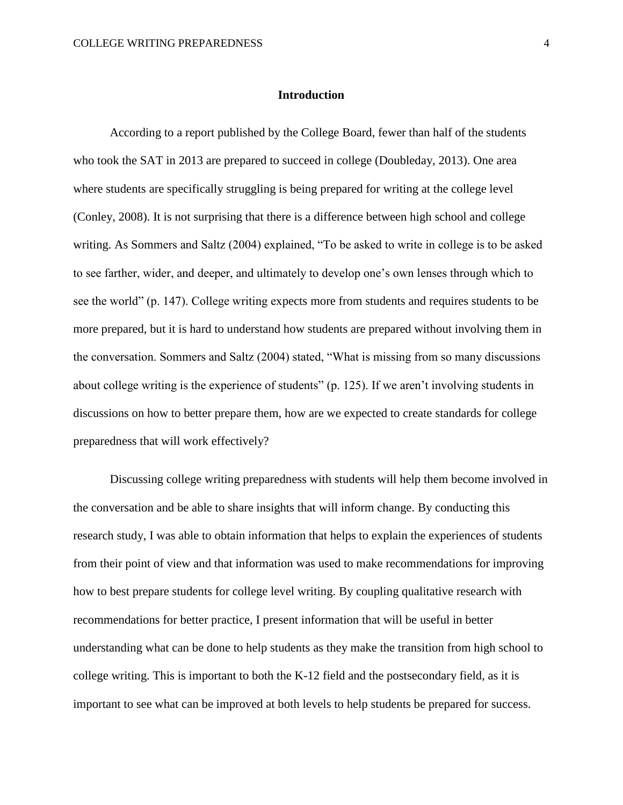According to a report published by the College Board, fewer than half of the students who took the SAT in 2013 are prepared to succeed in college (Doubleday, 2013). One area where students are specifically struggling is being prepared for writing at the college level (Conley, 2008). It is not surprising that there is a difference between high school and college writing. As Sommers and Saltz (2004) explained, "To be asked to write in college is to be asked to see farther, wider, and deeper, and ultimately to develop one's own lenses through which to see the world" (p. 147). College writing expects more from students and requires students to be more prepared, but it is hard to understand how students are prepared without involving them in the conversation. Sommers and Saltz (2004) stated, "What is missing from so many discussions about college writing is the experience of students" (p. 125). If we aren't involving students in discussions on how to better prepare them, how are we expected to create standards for college preparedness that will work effectively?

Discussing college writing preparedness with students will help them become involved in the conversation and be able to share insights that will inform change. By conducting this research study, I was able to obtain information that helps to explain the experiences of students from their point of view and that information was used to make recommendations for improving how to best prepare students for college level writing. By coupling qualitative research with recommendations for better practice, I present information that will be useful in better understanding what can be done to help students as they make the transition from high school to college writing. This is important to both the K-12 field and the postsecondary field, as it is important to see what can be improved at both levels to help students be prepared for success.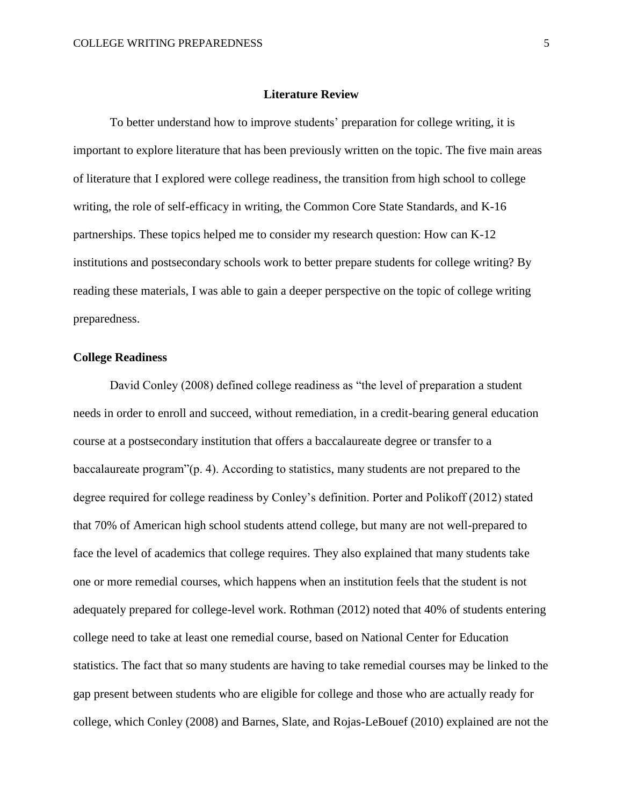#### **Literature Review**

To better understand how to improve students' preparation for college writing, it is important to explore literature that has been previously written on the topic. The five main areas of literature that I explored were college readiness, the transition from high school to college writing, the role of self-efficacy in writing, the Common Core State Standards, and K-16 partnerships. These topics helped me to consider my research question: How can K-12 institutions and postsecondary schools work to better prepare students for college writing? By reading these materials, I was able to gain a deeper perspective on the topic of college writing preparedness.

#### **College Readiness**

David Conley (2008) defined college readiness as "the level of preparation a student needs in order to enroll and succeed, without remediation, in a credit-bearing general education course at a postsecondary institution that offers a baccalaureate degree or transfer to a baccalaureate program"(p. 4). According to statistics, many students are not prepared to the degree required for college readiness by Conley's definition. Porter and Polikoff (2012) stated that 70% of American high school students attend college, but many are not well-prepared to face the level of academics that college requires. They also explained that many students take one or more remedial courses, which happens when an institution feels that the student is not adequately prepared for college-level work. Rothman (2012) noted that 40% of students entering college need to take at least one remedial course, based on National Center for Education statistics. The fact that so many students are having to take remedial courses may be linked to the gap present between students who are eligible for college and those who are actually ready for college, which Conley (2008) and Barnes, Slate, and Rojas-LeBouef (2010) explained are not the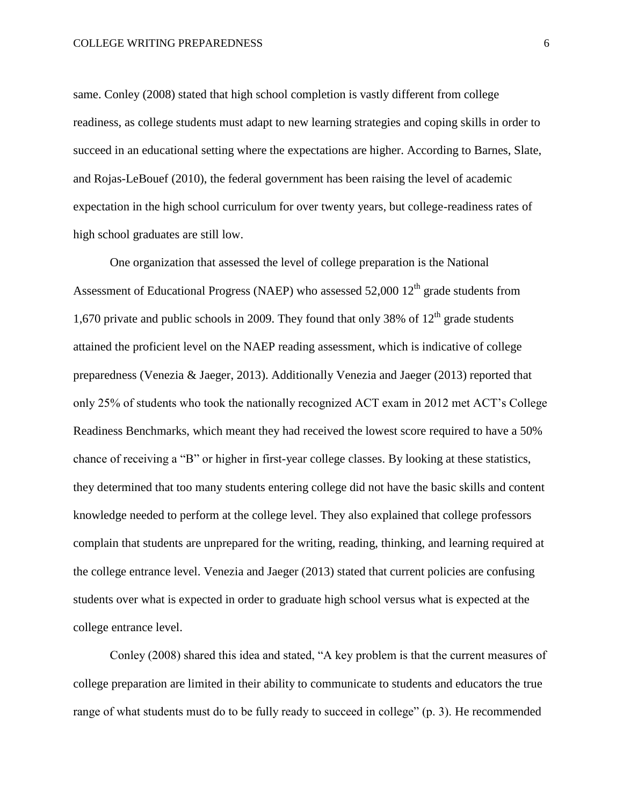#### COLLEGE WRITING PREPAREDNESS 6

same. Conley (2008) stated that high school completion is vastly different from college readiness, as college students must adapt to new learning strategies and coping skills in order to succeed in an educational setting where the expectations are higher. According to Barnes, Slate, and Rojas-LeBouef (2010), the federal government has been raising the level of academic expectation in the high school curriculum for over twenty years, but college-readiness rates of high school graduates are still low.

One organization that assessed the level of college preparation is the National Assessment of Educational Progress (NAEP) who assessed  $52,000$   $12<sup>th</sup>$  grade students from 1,670 private and public schools in 2009. They found that only 38% of  $12<sup>th</sup>$  grade students attained the proficient level on the NAEP reading assessment, which is indicative of college preparedness (Venezia & Jaeger, 2013). Additionally Venezia and Jaeger (2013) reported that only 25% of students who took the nationally recognized ACT exam in 2012 met ACT's College Readiness Benchmarks, which meant they had received the lowest score required to have a 50% chance of receiving a "B" or higher in first-year college classes. By looking at these statistics, they determined that too many students entering college did not have the basic skills and content knowledge needed to perform at the college level. They also explained that college professors complain that students are unprepared for the writing, reading, thinking, and learning required at the college entrance level. Venezia and Jaeger (2013) stated that current policies are confusing students over what is expected in order to graduate high school versus what is expected at the college entrance level.

Conley (2008) shared this idea and stated, "A key problem is that the current measures of college preparation are limited in their ability to communicate to students and educators the true range of what students must do to be fully ready to succeed in college" (p. 3). He recommended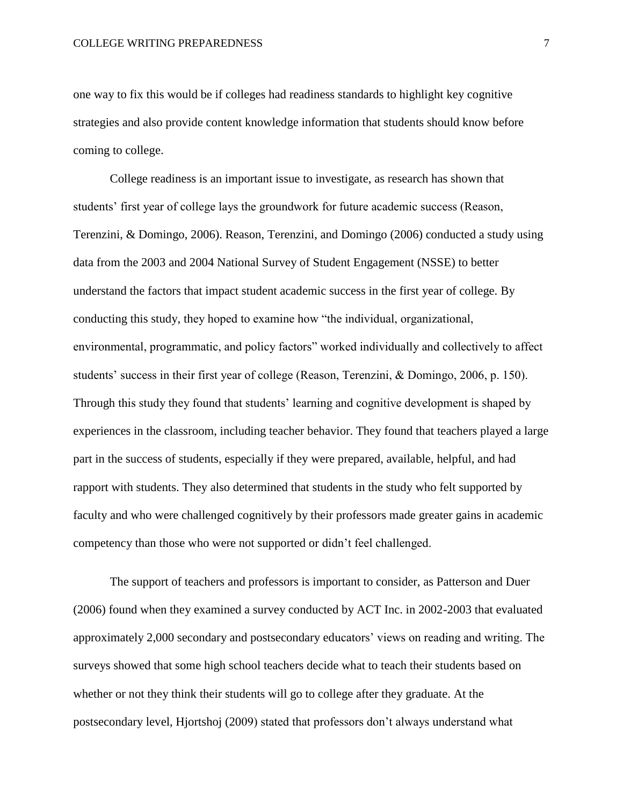one way to fix this would be if colleges had readiness standards to highlight key cognitive strategies and also provide content knowledge information that students should know before coming to college.

College readiness is an important issue to investigate, as research has shown that students' first year of college lays the groundwork for future academic success (Reason, Terenzini, & Domingo, 2006). Reason, Terenzini, and Domingo (2006) conducted a study using data from the 2003 and 2004 National Survey of Student Engagement (NSSE) to better understand the factors that impact student academic success in the first year of college. By conducting this study, they hoped to examine how "the individual, organizational, environmental, programmatic, and policy factors" worked individually and collectively to affect students' success in their first year of college (Reason, Terenzini, & Domingo, 2006, p. 150). Through this study they found that students' learning and cognitive development is shaped by experiences in the classroom, including teacher behavior. They found that teachers played a large part in the success of students, especially if they were prepared, available, helpful, and had rapport with students. They also determined that students in the study who felt supported by faculty and who were challenged cognitively by their professors made greater gains in academic competency than those who were not supported or didn't feel challenged.

The support of teachers and professors is important to consider, as Patterson and Duer (2006) found when they examined a survey conducted by ACT Inc. in 2002-2003 that evaluated approximately 2,000 secondary and postsecondary educators' views on reading and writing. The surveys showed that some high school teachers decide what to teach their students based on whether or not they think their students will go to college after they graduate. At the postsecondary level, Hjortshoj (2009) stated that professors don't always understand what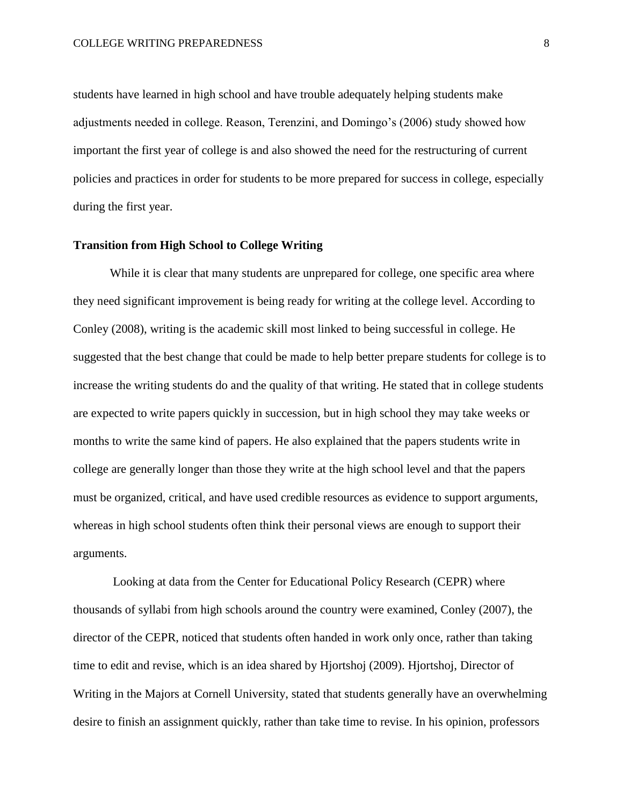students have learned in high school and have trouble adequately helping students make adjustments needed in college. Reason, Terenzini, and Domingo's (2006) study showed how important the first year of college is and also showed the need for the restructuring of current policies and practices in order for students to be more prepared for success in college, especially during the first year.

#### **Transition from High School to College Writing**

While it is clear that many students are unprepared for college, one specific area where they need significant improvement is being ready for writing at the college level. According to Conley (2008), writing is the academic skill most linked to being successful in college. He suggested that the best change that could be made to help better prepare students for college is to increase the writing students do and the quality of that writing. He stated that in college students are expected to write papers quickly in succession, but in high school they may take weeks or months to write the same kind of papers. He also explained that the papers students write in college are generally longer than those they write at the high school level and that the papers must be organized, critical, and have used credible resources as evidence to support arguments, whereas in high school students often think their personal views are enough to support their arguments.

Looking at data from the Center for Educational Policy Research (CEPR) where thousands of syllabi from high schools around the country were examined, Conley (2007), the director of the CEPR, noticed that students often handed in work only once, rather than taking time to edit and revise, which is an idea shared by Hjortshoj (2009). Hjortshoj, Director of Writing in the Majors at Cornell University, stated that students generally have an overwhelming desire to finish an assignment quickly, rather than take time to revise. In his opinion, professors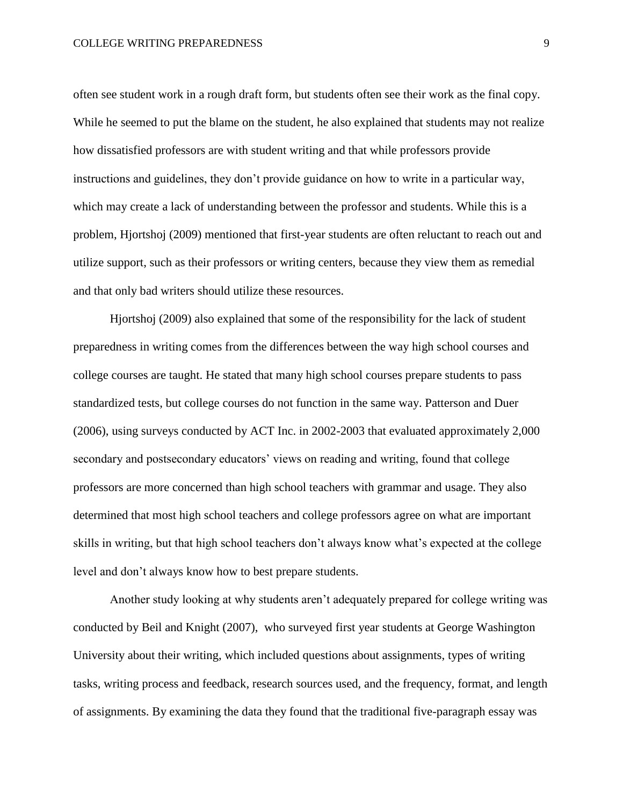often see student work in a rough draft form, but students often see their work as the final copy. While he seemed to put the blame on the student, he also explained that students may not realize how dissatisfied professors are with student writing and that while professors provide instructions and guidelines, they don't provide guidance on how to write in a particular way, which may create a lack of understanding between the professor and students. While this is a problem, Hjortshoj (2009) mentioned that first-year students are often reluctant to reach out and utilize support, such as their professors or writing centers, because they view them as remedial and that only bad writers should utilize these resources.

Hjortshoj (2009) also explained that some of the responsibility for the lack of student preparedness in writing comes from the differences between the way high school courses and college courses are taught. He stated that many high school courses prepare students to pass standardized tests, but college courses do not function in the same way. Patterson and Duer (2006), using surveys conducted by ACT Inc. in 2002-2003 that evaluated approximately 2,000 secondary and postsecondary educators' views on reading and writing, found that college professors are more concerned than high school teachers with grammar and usage. They also determined that most high school teachers and college professors agree on what are important skills in writing, but that high school teachers don't always know what's expected at the college level and don't always know how to best prepare students.

Another study looking at why students aren't adequately prepared for college writing was conducted by Beil and Knight (2007), who surveyed first year students at George Washington University about their writing, which included questions about assignments, types of writing tasks, writing process and feedback, research sources used, and the frequency, format, and length of assignments. By examining the data they found that the traditional five-paragraph essay was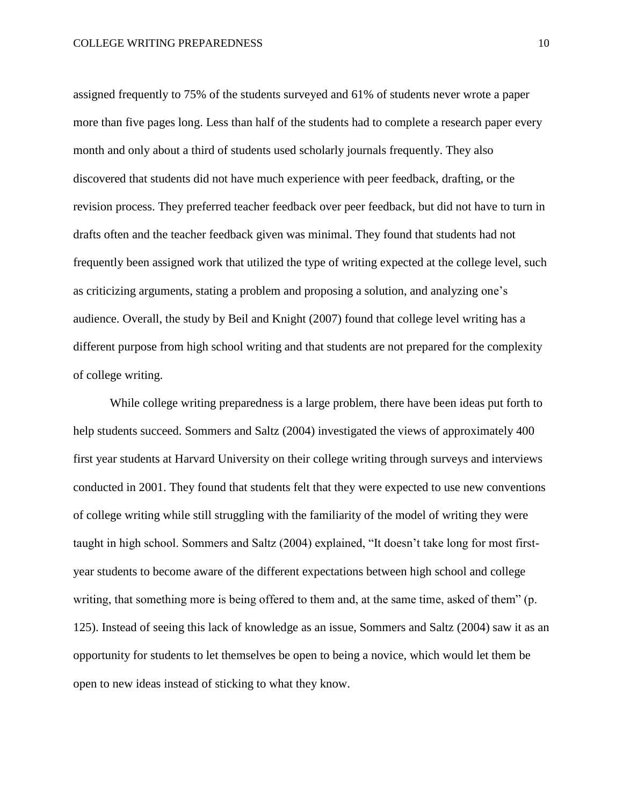assigned frequently to 75% of the students surveyed and 61% of students never wrote a paper more than five pages long. Less than half of the students had to complete a research paper every month and only about a third of students used scholarly journals frequently. They also discovered that students did not have much experience with peer feedback, drafting, or the revision process. They preferred teacher feedback over peer feedback, but did not have to turn in drafts often and the teacher feedback given was minimal. They found that students had not frequently been assigned work that utilized the type of writing expected at the college level, such as criticizing arguments, stating a problem and proposing a solution, and analyzing one's audience. Overall, the study by Beil and Knight (2007) found that college level writing has a different purpose from high school writing and that students are not prepared for the complexity of college writing.

While college writing preparedness is a large problem, there have been ideas put forth to help students succeed. Sommers and Saltz (2004) investigated the views of approximately 400 first year students at Harvard University on their college writing through surveys and interviews conducted in 2001. They found that students felt that they were expected to use new conventions of college writing while still struggling with the familiarity of the model of writing they were taught in high school. Sommers and Saltz (2004) explained, "It doesn't take long for most firstyear students to become aware of the different expectations between high school and college writing, that something more is being offered to them and, at the same time, asked of them" (p. 125). Instead of seeing this lack of knowledge as an issue, Sommers and Saltz (2004) saw it as an opportunity for students to let themselves be open to being a novice, which would let them be open to new ideas instead of sticking to what they know.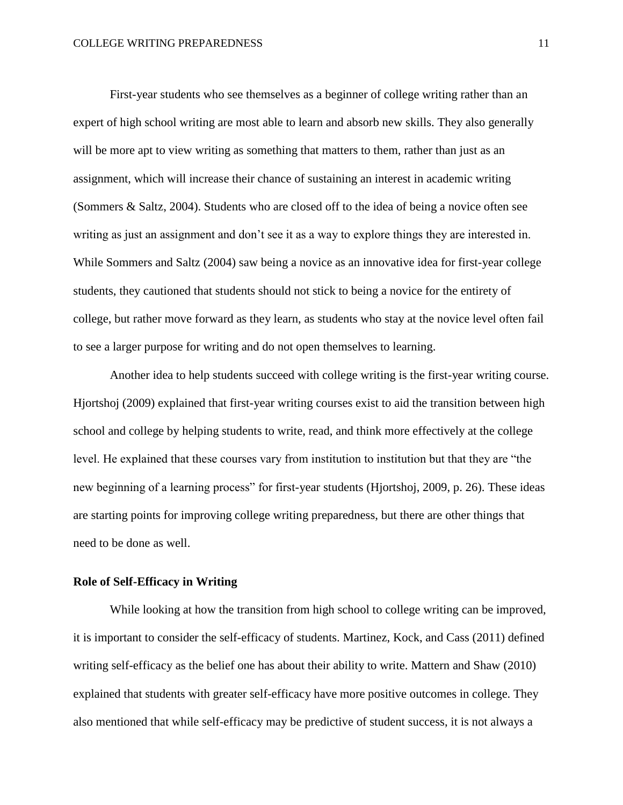First-year students who see themselves as a beginner of college writing rather than an expert of high school writing are most able to learn and absorb new skills. They also generally will be more apt to view writing as something that matters to them, rather than just as an assignment, which will increase their chance of sustaining an interest in academic writing (Sommers & Saltz, 2004). Students who are closed off to the idea of being a novice often see writing as just an assignment and don't see it as a way to explore things they are interested in. While Sommers and Saltz (2004) saw being a novice as an innovative idea for first-year college students, they cautioned that students should not stick to being a novice for the entirety of college, but rather move forward as they learn, as students who stay at the novice level often fail to see a larger purpose for writing and do not open themselves to learning.

Another idea to help students succeed with college writing is the first-year writing course. Hjortshoj (2009) explained that first-year writing courses exist to aid the transition between high school and college by helping students to write, read, and think more effectively at the college level. He explained that these courses vary from institution to institution but that they are "the new beginning of a learning process" for first-year students (Hjortshoj, 2009, p. 26). These ideas are starting points for improving college writing preparedness, but there are other things that need to be done as well.

# **Role of Self-Efficacy in Writing**

While looking at how the transition from high school to college writing can be improved, it is important to consider the self-efficacy of students. Martinez, Kock, and Cass (2011) defined writing self-efficacy as the belief one has about their ability to write. Mattern and Shaw (2010) explained that students with greater self-efficacy have more positive outcomes in college. They also mentioned that while self-efficacy may be predictive of student success, it is not always a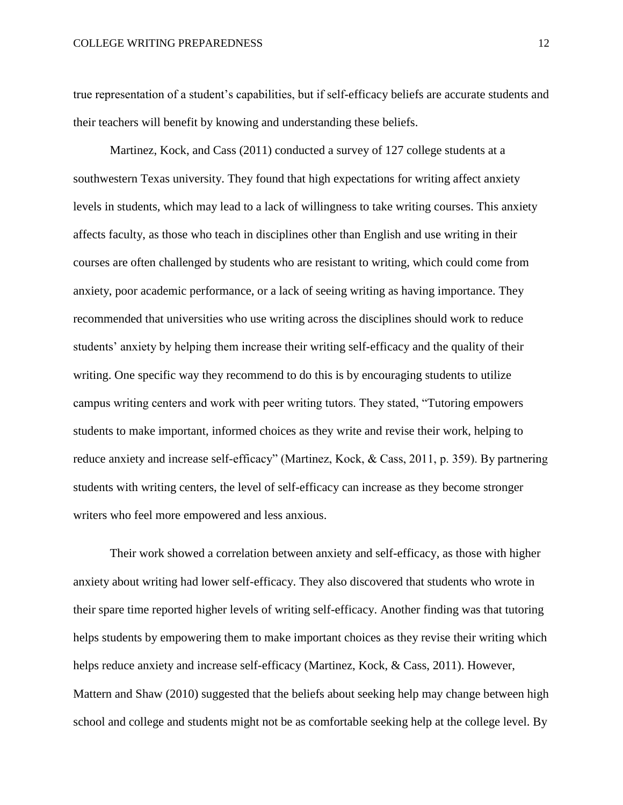true representation of a student's capabilities, but if self-efficacy beliefs are accurate students and their teachers will benefit by knowing and understanding these beliefs.

Martinez, Kock, and Cass (2011) conducted a survey of 127 college students at a southwestern Texas university. They found that high expectations for writing affect anxiety levels in students, which may lead to a lack of willingness to take writing courses. This anxiety affects faculty, as those who teach in disciplines other than English and use writing in their courses are often challenged by students who are resistant to writing, which could come from anxiety, poor academic performance, or a lack of seeing writing as having importance. They recommended that universities who use writing across the disciplines should work to reduce students' anxiety by helping them increase their writing self-efficacy and the quality of their writing. One specific way they recommend to do this is by encouraging students to utilize campus writing centers and work with peer writing tutors. They stated, "Tutoring empowers students to make important, informed choices as they write and revise their work, helping to reduce anxiety and increase self-efficacy" (Martinez, Kock, & Cass, 2011, p. 359). By partnering students with writing centers, the level of self-efficacy can increase as they become stronger writers who feel more empowered and less anxious.

Their work showed a correlation between anxiety and self-efficacy, as those with higher anxiety about writing had lower self-efficacy. They also discovered that students who wrote in their spare time reported higher levels of writing self-efficacy. Another finding was that tutoring helps students by empowering them to make important choices as they revise their writing which helps reduce anxiety and increase self-efficacy (Martinez, Kock, & Cass, 2011). However, Mattern and Shaw (2010) suggested that the beliefs about seeking help may change between high school and college and students might not be as comfortable seeking help at the college level. By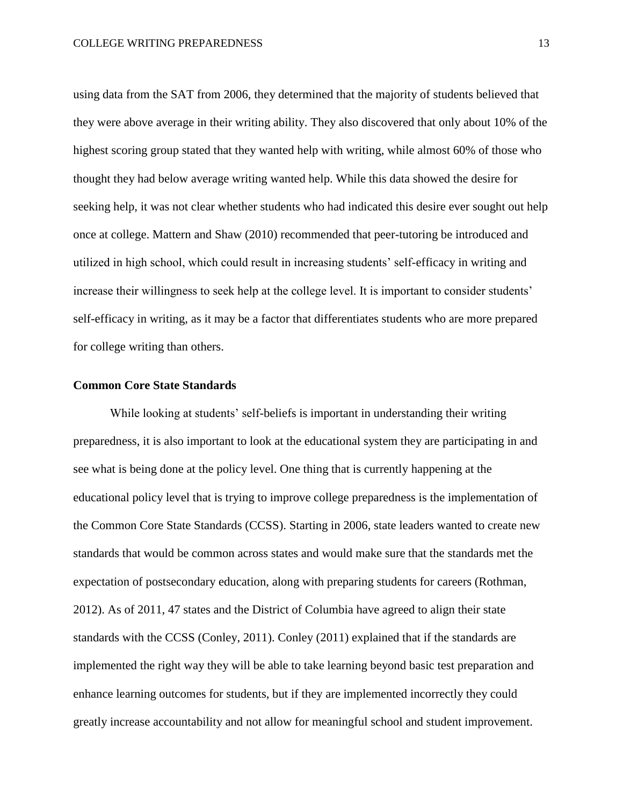using data from the SAT from 2006, they determined that the majority of students believed that they were above average in their writing ability. They also discovered that only about 10% of the highest scoring group stated that they wanted help with writing, while almost 60% of those who thought they had below average writing wanted help. While this data showed the desire for seeking help, it was not clear whether students who had indicated this desire ever sought out help once at college. Mattern and Shaw (2010) recommended that peer-tutoring be introduced and utilized in high school, which could result in increasing students' self-efficacy in writing and increase their willingness to seek help at the college level. It is important to consider students' self-efficacy in writing, as it may be a factor that differentiates students who are more prepared for college writing than others.

# **Common Core State Standards**

While looking at students' self-beliefs is important in understanding their writing preparedness, it is also important to look at the educational system they are participating in and see what is being done at the policy level. One thing that is currently happening at the educational policy level that is trying to improve college preparedness is the implementation of the Common Core State Standards (CCSS). Starting in 2006, state leaders wanted to create new standards that would be common across states and would make sure that the standards met the expectation of postsecondary education, along with preparing students for careers (Rothman, 2012). As of 2011, 47 states and the District of Columbia have agreed to align their state standards with the CCSS (Conley, 2011). Conley (2011) explained that if the standards are implemented the right way they will be able to take learning beyond basic test preparation and enhance learning outcomes for students, but if they are implemented incorrectly they could greatly increase accountability and not allow for meaningful school and student improvement.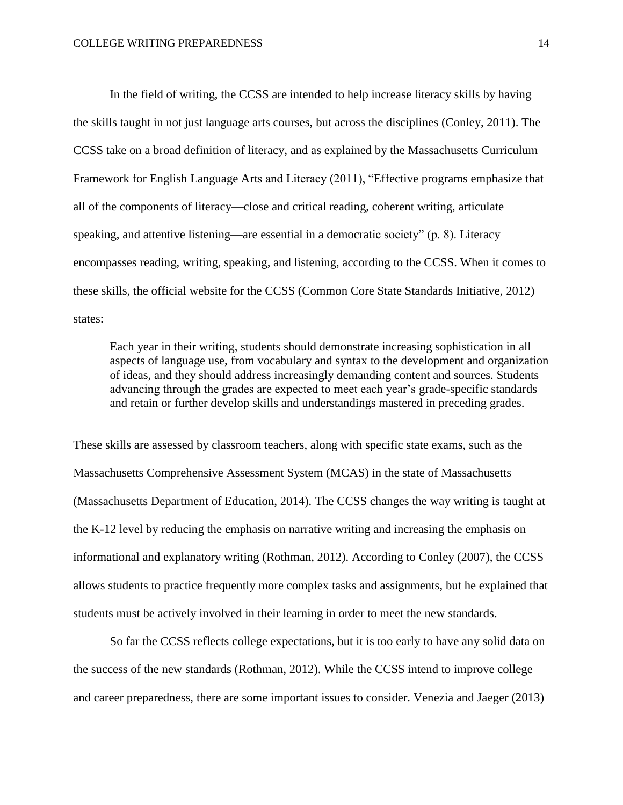In the field of writing, the CCSS are intended to help increase literacy skills by having the skills taught in not just language arts courses, but across the disciplines (Conley, 2011). The CCSS take on a broad definition of literacy, and as explained by the Massachusetts Curriculum Framework for English Language Arts and Literacy (2011), "Effective programs emphasize that all of the components of literacy—close and critical reading, coherent writing, articulate speaking, and attentive listening—are essential in a democratic society" (p. 8). Literacy encompasses reading, writing, speaking, and listening, according to the CCSS. When it comes to these skills, the official website for the CCSS (Common Core State Standards Initiative, 2012) states:

Each year in their writing, students should demonstrate increasing sophistication in all aspects of language use, from vocabulary and syntax to the development and organization of ideas, and they should address increasingly demanding content and sources. Students advancing through the grades are expected to meet each year's grade-specific standards and retain or further develop skills and understandings mastered in preceding grades.

These skills are assessed by classroom teachers, along with specific state exams, such as the Massachusetts Comprehensive Assessment System (MCAS) in the state of Massachusetts (Massachusetts Department of Education, 2014). The CCSS changes the way writing is taught at the K-12 level by reducing the emphasis on narrative writing and increasing the emphasis on informational and explanatory writing (Rothman, 2012). According to Conley (2007), the CCSS allows students to practice frequently more complex tasks and assignments, but he explained that students must be actively involved in their learning in order to meet the new standards.

So far the CCSS reflects college expectations, but it is too early to have any solid data on the success of the new standards (Rothman, 2012). While the CCSS intend to improve college and career preparedness, there are some important issues to consider. Venezia and Jaeger (2013)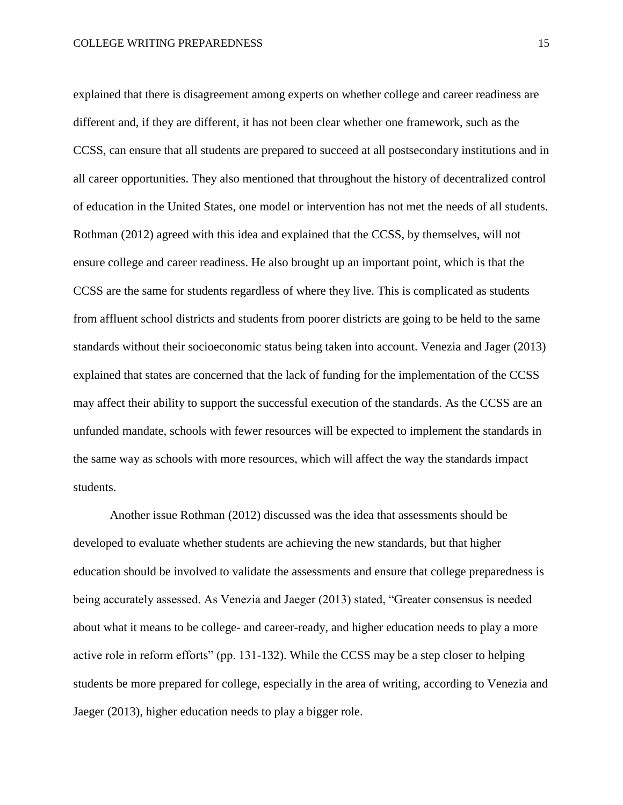explained that there is disagreement among experts on whether college and career readiness are different and, if they are different, it has not been clear whether one framework, such as the CCSS, can ensure that all students are prepared to succeed at all postsecondary institutions and in all career opportunities. They also mentioned that throughout the history of decentralized control of education in the United States, one model or intervention has not met the needs of all students. Rothman (2012) agreed with this idea and explained that the CCSS, by themselves, will not ensure college and career readiness. He also brought up an important point, which is that the CCSS are the same for students regardless of where they live. This is complicated as students from affluent school districts and students from poorer districts are going to be held to the same standards without their socioeconomic status being taken into account. Venezia and Jager (2013) explained that states are concerned that the lack of funding for the implementation of the CCSS may affect their ability to support the successful execution of the standards. As the CCSS are an unfunded mandate, schools with fewer resources will be expected to implement the standards in the same way as schools with more resources, which will affect the way the standards impact students.

Another issue Rothman (2012) discussed was the idea that assessments should be developed to evaluate whether students are achieving the new standards, but that higher education should be involved to validate the assessments and ensure that college preparedness is being accurately assessed. As Venezia and Jaeger (2013) stated, "Greater consensus is needed about what it means to be college- and career-ready, and higher education needs to play a more active role in reform efforts" (pp. 131-132). While the CCSS may be a step closer to helping students be more prepared for college, especially in the area of writing, according to Venezia and Jaeger (2013), higher education needs to play a bigger role.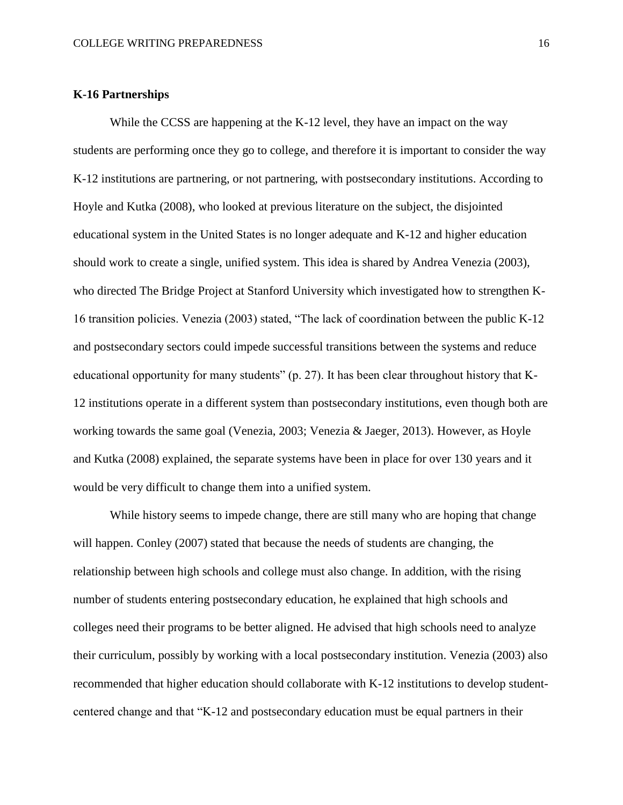#### **K-16 Partnerships**

While the CCSS are happening at the K-12 level, they have an impact on the way students are performing once they go to college, and therefore it is important to consider the way K-12 institutions are partnering, or not partnering, with postsecondary institutions. According to Hoyle and Kutka (2008), who looked at previous literature on the subject, the disjointed educational system in the United States is no longer adequate and K-12 and higher education should work to create a single, unified system. This idea is shared by Andrea Venezia (2003), who directed The Bridge Project at Stanford University which investigated how to strengthen K-16 transition policies. Venezia (2003) stated, "The lack of coordination between the public K-12 and postsecondary sectors could impede successful transitions between the systems and reduce educational opportunity for many students" (p. 27). It has been clear throughout history that K-12 institutions operate in a different system than postsecondary institutions, even though both are working towards the same goal (Venezia, 2003; Venezia & Jaeger, 2013). However, as Hoyle and Kutka (2008) explained, the separate systems have been in place for over 130 years and it would be very difficult to change them into a unified system.

While history seems to impede change, there are still many who are hoping that change will happen. Conley (2007) stated that because the needs of students are changing, the relationship between high schools and college must also change. In addition, with the rising number of students entering postsecondary education, he explained that high schools and colleges need their programs to be better aligned. He advised that high schools need to analyze their curriculum, possibly by working with a local postsecondary institution. Venezia (2003) also recommended that higher education should collaborate with K-12 institutions to develop studentcentered change and that "K-12 and postsecondary education must be equal partners in their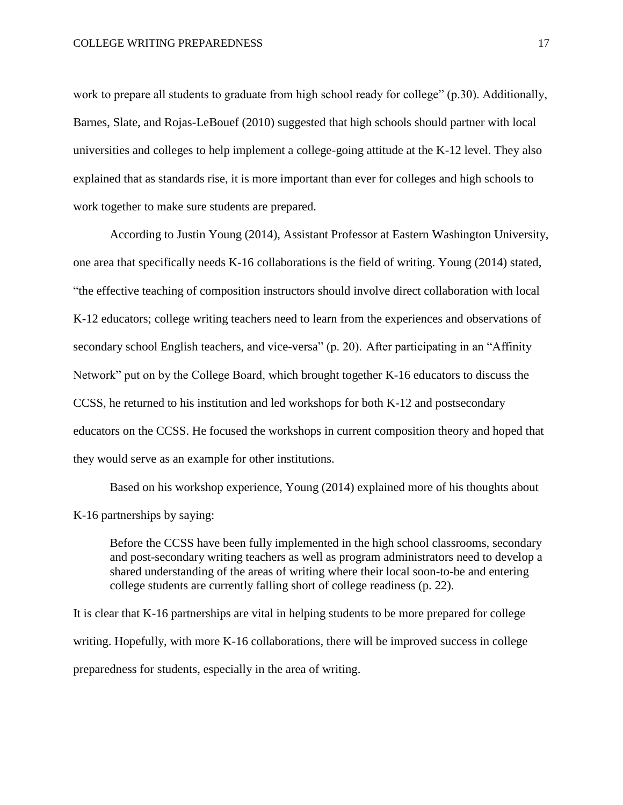work to prepare all students to graduate from high school ready for college" (p.30). Additionally, Barnes, Slate, and Rojas-LeBouef (2010) suggested that high schools should partner with local universities and colleges to help implement a college-going attitude at the K-12 level. They also explained that as standards rise, it is more important than ever for colleges and high schools to work together to make sure students are prepared.

According to Justin Young (2014), Assistant Professor at Eastern Washington University, one area that specifically needs K-16 collaborations is the field of writing. Young (2014) stated, "the effective teaching of composition instructors should involve direct collaboration with local K-12 educators; college writing teachers need to learn from the experiences and observations of secondary school English teachers, and vice-versa" (p. 20). After participating in an "Affinity Network" put on by the College Board, which brought together K-16 educators to discuss the CCSS, he returned to his institution and led workshops for both K-12 and postsecondary educators on the CCSS. He focused the workshops in current composition theory and hoped that they would serve as an example for other institutions.

Based on his workshop experience, Young (2014) explained more of his thoughts about K-16 partnerships by saying:

Before the CCSS have been fully implemented in the high school classrooms, secondary and post-secondary writing teachers as well as program administrators need to develop a shared understanding of the areas of writing where their local soon-to-be and entering college students are currently falling short of college readiness (p. 22).

It is clear that K-16 partnerships are vital in helping students to be more prepared for college writing. Hopefully, with more K-16 collaborations, there will be improved success in college preparedness for students, especially in the area of writing.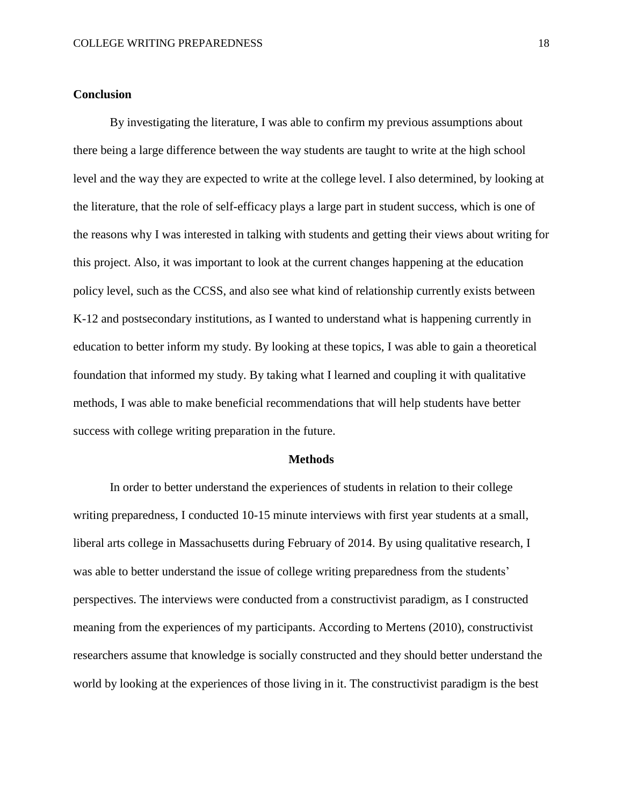#### **Conclusion**

By investigating the literature, I was able to confirm my previous assumptions about there being a large difference between the way students are taught to write at the high school level and the way they are expected to write at the college level. I also determined, by looking at the literature, that the role of self-efficacy plays a large part in student success, which is one of the reasons why I was interested in talking with students and getting their views about writing for this project. Also, it was important to look at the current changes happening at the education policy level, such as the CCSS, and also see what kind of relationship currently exists between K-12 and postsecondary institutions, as I wanted to understand what is happening currently in education to better inform my study. By looking at these topics, I was able to gain a theoretical foundation that informed my study. By taking what I learned and coupling it with qualitative methods, I was able to make beneficial recommendations that will help students have better success with college writing preparation in the future.

#### **Methods**

In order to better understand the experiences of students in relation to their college writing preparedness, I conducted 10-15 minute interviews with first year students at a small, liberal arts college in Massachusetts during February of 2014. By using qualitative research, I was able to better understand the issue of college writing preparedness from the students' perspectives. The interviews were conducted from a constructivist paradigm, as I constructed meaning from the experiences of my participants. According to Mertens (2010), constructivist researchers assume that knowledge is socially constructed and they should better understand the world by looking at the experiences of those living in it. The constructivist paradigm is the best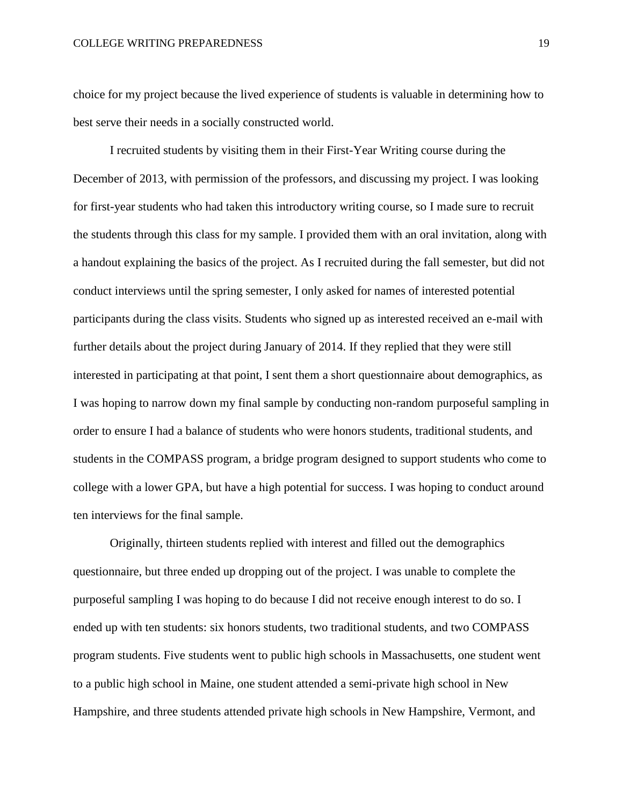choice for my project because the lived experience of students is valuable in determining how to best serve their needs in a socially constructed world.

I recruited students by visiting them in their First-Year Writing course during the December of 2013, with permission of the professors, and discussing my project. I was looking for first-year students who had taken this introductory writing course, so I made sure to recruit the students through this class for my sample. I provided them with an oral invitation, along with a handout explaining the basics of the project. As I recruited during the fall semester, but did not conduct interviews until the spring semester, I only asked for names of interested potential participants during the class visits. Students who signed up as interested received an e-mail with further details about the project during January of 2014. If they replied that they were still interested in participating at that point, I sent them a short questionnaire about demographics, as I was hoping to narrow down my final sample by conducting non-random purposeful sampling in order to ensure I had a balance of students who were honors students, traditional students, and students in the COMPASS program, a bridge program designed to support students who come to college with a lower GPA, but have a high potential for success. I was hoping to conduct around ten interviews for the final sample.

Originally, thirteen students replied with interest and filled out the demographics questionnaire, but three ended up dropping out of the project. I was unable to complete the purposeful sampling I was hoping to do because I did not receive enough interest to do so. I ended up with ten students: six honors students, two traditional students, and two COMPASS program students. Five students went to public high schools in Massachusetts, one student went to a public high school in Maine, one student attended a semi-private high school in New Hampshire, and three students attended private high schools in New Hampshire, Vermont, and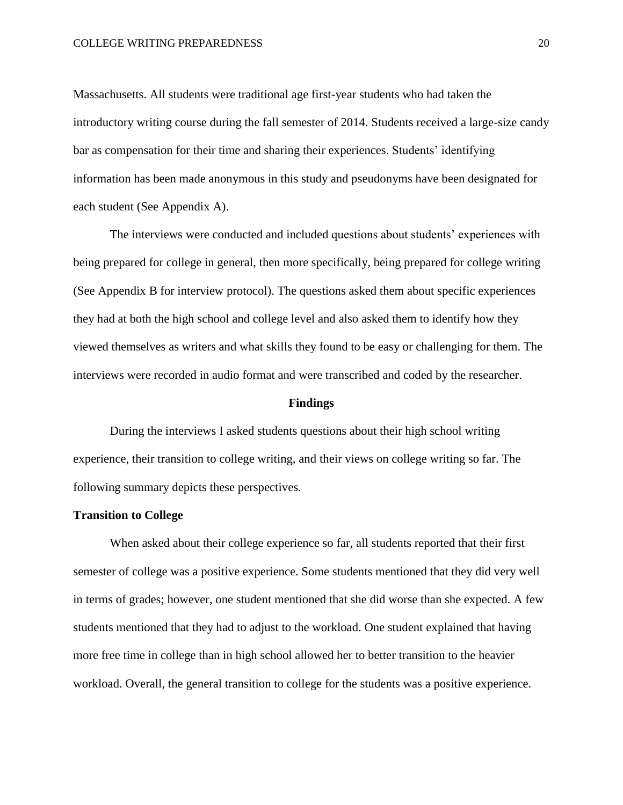Massachusetts. All students were traditional age first-year students who had taken the introductory writing course during the fall semester of 2014. Students received a large-size candy bar as compensation for their time and sharing their experiences. Students' identifying information has been made anonymous in this study and pseudonyms have been designated for each student (See Appendix A).

The interviews were conducted and included questions about students' experiences with being prepared for college in general, then more specifically, being prepared for college writing (See Appendix B for interview protocol). The questions asked them about specific experiences they had at both the high school and college level and also asked them to identify how they viewed themselves as writers and what skills they found to be easy or challenging for them. The interviews were recorded in audio format and were transcribed and coded by the researcher.

#### **Findings**

During the interviews I asked students questions about their high school writing experience, their transition to college writing, and their views on college writing so far. The following summary depicts these perspectives.

#### **Transition to College**

When asked about their college experience so far, all students reported that their first semester of college was a positive experience. Some students mentioned that they did very well in terms of grades; however, one student mentioned that she did worse than she expected. A few students mentioned that they had to adjust to the workload. One student explained that having more free time in college than in high school allowed her to better transition to the heavier workload. Overall, the general transition to college for the students was a positive experience.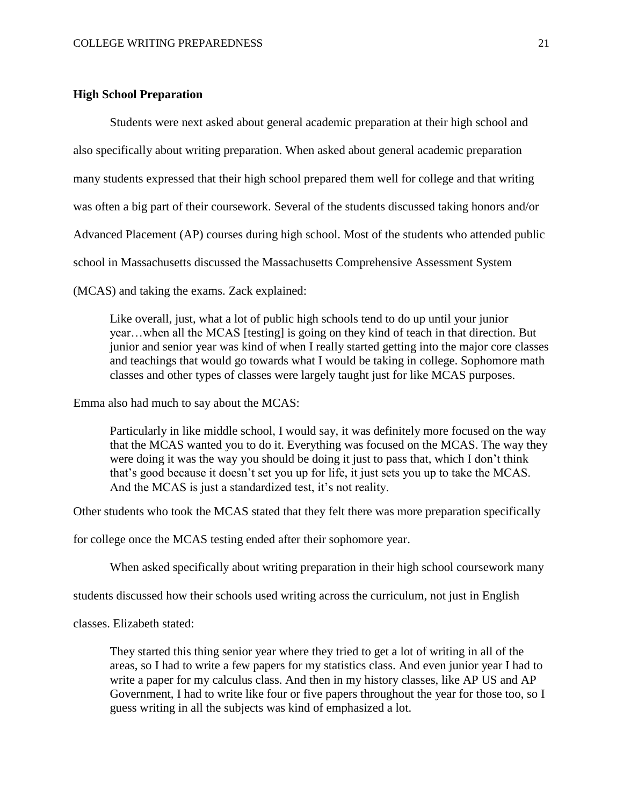# **High School Preparation**

Students were next asked about general academic preparation at their high school and also specifically about writing preparation. When asked about general academic preparation many students expressed that their high school prepared them well for college and that writing was often a big part of their coursework. Several of the students discussed taking honors and/or Advanced Placement (AP) courses during high school. Most of the students who attended public school in Massachusetts discussed the Massachusetts Comprehensive Assessment System (MCAS) and taking the exams. Zack explained:

Like overall, just, what a lot of public high schools tend to do up until your junior year…when all the MCAS [testing] is going on they kind of teach in that direction. But junior and senior year was kind of when I really started getting into the major core classes and teachings that would go towards what I would be taking in college. Sophomore math classes and other types of classes were largely taught just for like MCAS purposes.

Emma also had much to say about the MCAS:

Particularly in like middle school, I would say, it was definitely more focused on the way that the MCAS wanted you to do it. Everything was focused on the MCAS. The way they were doing it was the way you should be doing it just to pass that, which I don't think that's good because it doesn't set you up for life, it just sets you up to take the MCAS. And the MCAS is just a standardized test, it's not reality.

Other students who took the MCAS stated that they felt there was more preparation specifically

for college once the MCAS testing ended after their sophomore year.

When asked specifically about writing preparation in their high school coursework many

students discussed how their schools used writing across the curriculum, not just in English

classes. Elizabeth stated:

They started this thing senior year where they tried to get a lot of writing in all of the areas, so I had to write a few papers for my statistics class. And even junior year I had to write a paper for my calculus class. And then in my history classes, like AP US and AP Government, I had to write like four or five papers throughout the year for those too, so I guess writing in all the subjects was kind of emphasized a lot.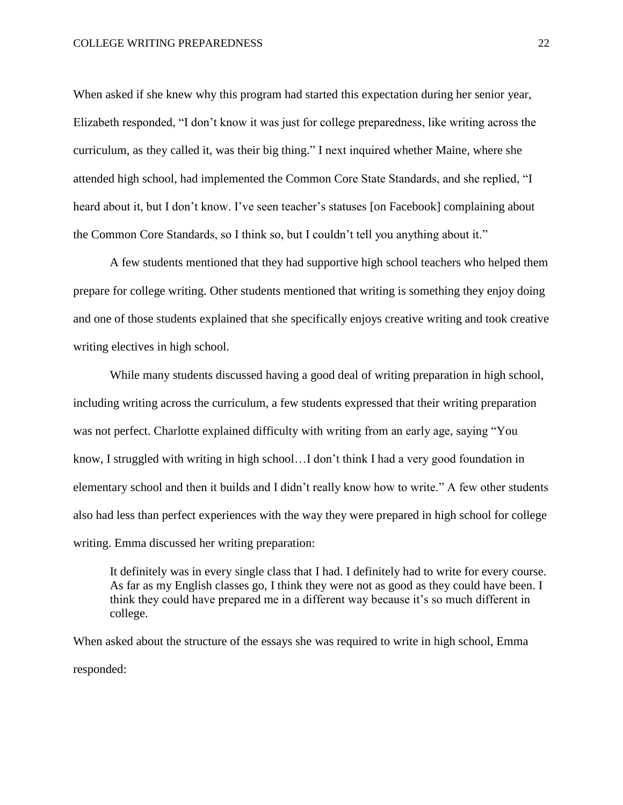When asked if she knew why this program had started this expectation during her senior year, Elizabeth responded, "I don't know it was just for college preparedness, like writing across the curriculum, as they called it, was their big thing." I next inquired whether Maine, where she attended high school, had implemented the Common Core State Standards, and she replied, "I heard about it, but I don't know. I've seen teacher's statuses [on Facebook] complaining about the Common Core Standards, so I think so, but I couldn't tell you anything about it."

A few students mentioned that they had supportive high school teachers who helped them prepare for college writing. Other students mentioned that writing is something they enjoy doing and one of those students explained that she specifically enjoys creative writing and took creative writing electives in high school.

While many students discussed having a good deal of writing preparation in high school, including writing across the curriculum, a few students expressed that their writing preparation was not perfect. Charlotte explained difficulty with writing from an early age, saying "You know, I struggled with writing in high school…I don't think I had a very good foundation in elementary school and then it builds and I didn't really know how to write." A few other students also had less than perfect experiences with the way they were prepared in high school for college writing. Emma discussed her writing preparation:

It definitely was in every single class that I had. I definitely had to write for every course. As far as my English classes go, I think they were not as good as they could have been. I think they could have prepared me in a different way because it's so much different in college.

When asked about the structure of the essays she was required to write in high school, Emma responded: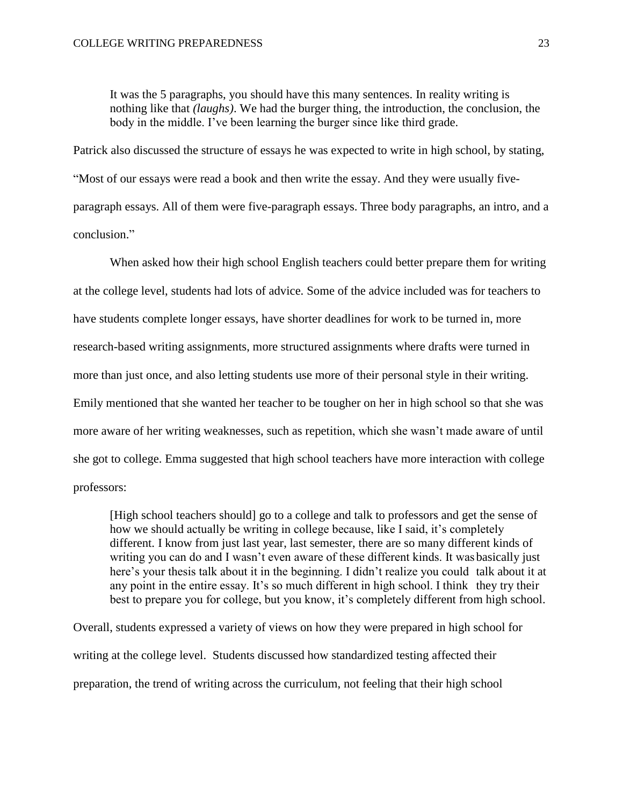It was the 5 paragraphs, you should have this many sentences. In reality writing is nothing like that *(laughs)*. We had the burger thing, the introduction, the conclusion, the body in the middle. I've been learning the burger since like third grade.

Patrick also discussed the structure of essays he was expected to write in high school, by stating, "Most of our essays were read a book and then write the essay. And they were usually fiveparagraph essays. All of them were five-paragraph essays. Three body paragraphs, an intro, and a conclusion."

When asked how their high school English teachers could better prepare them for writing at the college level, students had lots of advice. Some of the advice included was for teachers to have students complete longer essays, have shorter deadlines for work to be turned in, more research-based writing assignments, more structured assignments where drafts were turned in more than just once, and also letting students use more of their personal style in their writing. Emily mentioned that she wanted her teacher to be tougher on her in high school so that she was more aware of her writing weaknesses, such as repetition, which she wasn't made aware of until she got to college. Emma suggested that high school teachers have more interaction with college professors:

[High school teachers should] go to a college and talk to professors and get the sense of how we should actually be writing in college because, like I said, it's completely different. I know from just last year, last semester, there are so many different kinds of writing you can do and I wasn't even aware of these different kinds. It wasbasically just here's your thesis talk about it in the beginning. I didn't realize you could talk about it at any point in the entire essay. It's so much different in high school. I think they try their best to prepare you for college, but you know, it's completely different from high school.

Overall, students expressed a variety of views on how they were prepared in high school for writing at the college level. Students discussed how standardized testing affected their preparation, the trend of writing across the curriculum, not feeling that their high school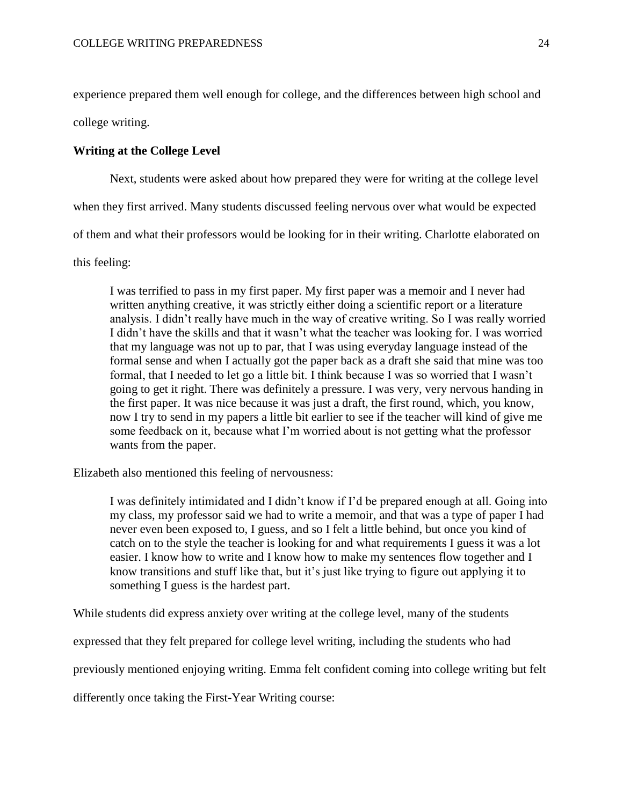experience prepared them well enough for college, and the differences between high school and

college writing.

# **Writing at the College Level**

Next, students were asked about how prepared they were for writing at the college level

when they first arrived. Many students discussed feeling nervous over what would be expected

of them and what their professors would be looking for in their writing. Charlotte elaborated on

this feeling:

I was terrified to pass in my first paper. My first paper was a memoir and I never had written anything creative, it was strictly either doing a scientific report or a literature analysis. I didn't really have much in the way of creative writing. So I was really worried I didn't have the skills and that it wasn't what the teacher was looking for. I was worried that my language was not up to par, that I was using everyday language instead of the formal sense and when I actually got the paper back as a draft she said that mine was too formal, that I needed to let go a little bit. I think because I was so worried that I wasn't going to get it right. There was definitely a pressure. I was very, very nervous handing in the first paper. It was nice because it was just a draft, the first round, which, you know, now I try to send in my papers a little bit earlier to see if the teacher will kind of give me some feedback on it, because what I'm worried about is not getting what the professor wants from the paper.

Elizabeth also mentioned this feeling of nervousness:

I was definitely intimidated and I didn't know if I'd be prepared enough at all. Going into my class, my professor said we had to write a memoir, and that was a type of paper I had never even been exposed to, I guess, and so I felt a little behind, but once you kind of catch on to the style the teacher is looking for and what requirements I guess it was a lot easier. I know how to write and I know how to make my sentences flow together and I know transitions and stuff like that, but it's just like trying to figure out applying it to something I guess is the hardest part.

While students did express anxiety over writing at the college level, many of the students

expressed that they felt prepared for college level writing, including the students who had

previously mentioned enjoying writing. Emma felt confident coming into college writing but felt

differently once taking the First-Year Writing course: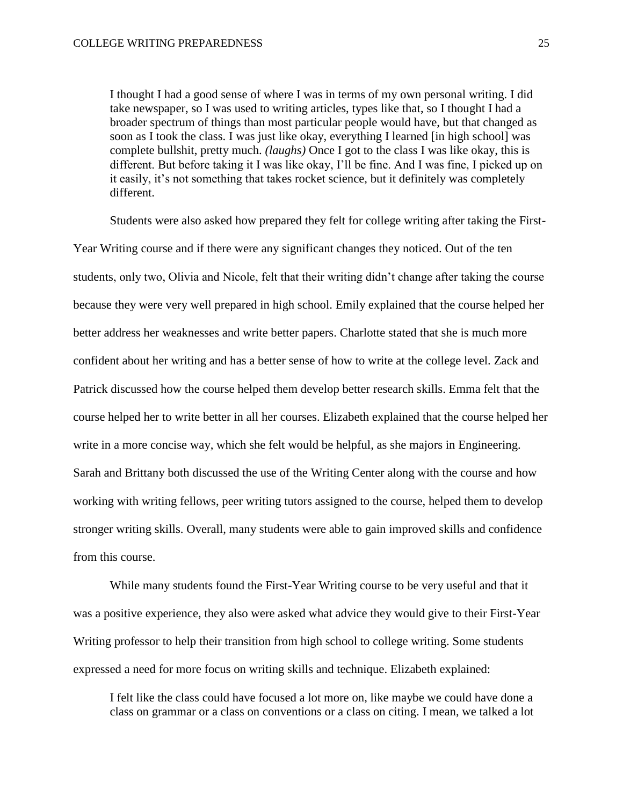I thought I had a good sense of where I was in terms of my own personal writing. I did take newspaper, so I was used to writing articles, types like that, so I thought I had a broader spectrum of things than most particular people would have, but that changed as soon as I took the class. I was just like okay, everything I learned [in high school] was complete bullshit, pretty much. *(laughs)* Once I got to the class I was like okay, this is different. But before taking it I was like okay, I'll be fine. And I was fine, I picked up on it easily, it's not something that takes rocket science, but it definitely was completely different.

Students were also asked how prepared they felt for college writing after taking the First-Year Writing course and if there were any significant changes they noticed. Out of the ten students, only two, Olivia and Nicole, felt that their writing didn't change after taking the course because they were very well prepared in high school. Emily explained that the course helped her better address her weaknesses and write better papers. Charlotte stated that she is much more confident about her writing and has a better sense of how to write at the college level. Zack and Patrick discussed how the course helped them develop better research skills. Emma felt that the course helped her to write better in all her courses. Elizabeth explained that the course helped her write in a more concise way, which she felt would be helpful, as she majors in Engineering. Sarah and Brittany both discussed the use of the Writing Center along with the course and how working with writing fellows, peer writing tutors assigned to the course, helped them to develop stronger writing skills. Overall, many students were able to gain improved skills and confidence from this course.

While many students found the First-Year Writing course to be very useful and that it was a positive experience, they also were asked what advice they would give to their First-Year Writing professor to help their transition from high school to college writing. Some students expressed a need for more focus on writing skills and technique. Elizabeth explained:

I felt like the class could have focused a lot more on, like maybe we could have done a class on grammar or a class on conventions or a class on citing. I mean, we talked a lot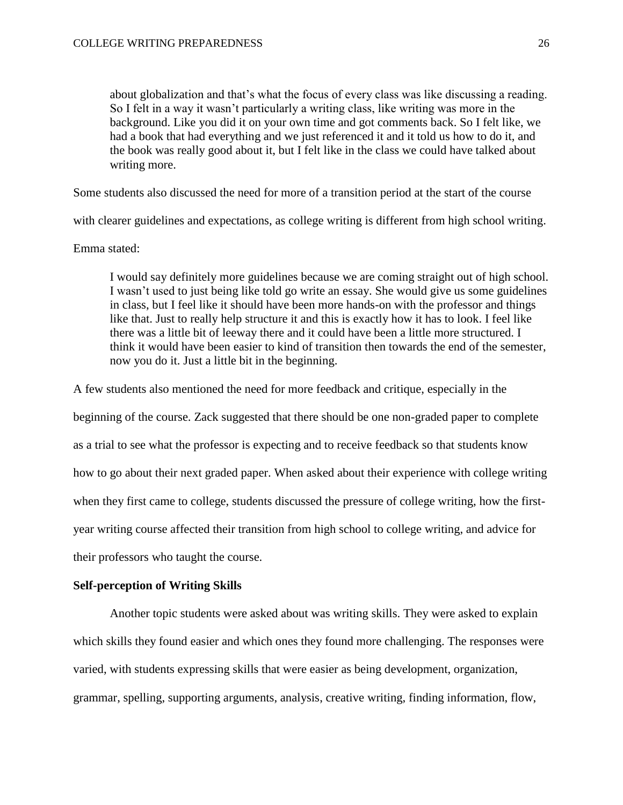about globalization and that's what the focus of every class was like discussing a reading. So I felt in a way it wasn't particularly a writing class, like writing was more in the background. Like you did it on your own time and got comments back. So I felt like, we had a book that had everything and we just referenced it and it told us how to do it, and the book was really good about it, but I felt like in the class we could have talked about writing more.

Some students also discussed the need for more of a transition period at the start of the course

with clearer guidelines and expectations, as college writing is different from high school writing.

#### Emma stated:

I would say definitely more guidelines because we are coming straight out of high school. I wasn't used to just being like told go write an essay. She would give us some guidelines in class, but I feel like it should have been more hands-on with the professor and things like that. Just to really help structure it and this is exactly how it has to look. I feel like there was a little bit of leeway there and it could have been a little more structured. I think it would have been easier to kind of transition then towards the end of the semester, now you do it. Just a little bit in the beginning.

A few students also mentioned the need for more feedback and critique, especially in the

beginning of the course. Zack suggested that there should be one non-graded paper to complete as a trial to see what the professor is expecting and to receive feedback so that students know how to go about their next graded paper. When asked about their experience with college writing when they first came to college, students discussed the pressure of college writing, how the firstyear writing course affected their transition from high school to college writing, and advice for their professors who taught the course.

#### **Self-perception of Writing Skills**

Another topic students were asked about was writing skills. They were asked to explain which skills they found easier and which ones they found more challenging. The responses were varied, with students expressing skills that were easier as being development, organization, grammar, spelling, supporting arguments, analysis, creative writing, finding information, flow,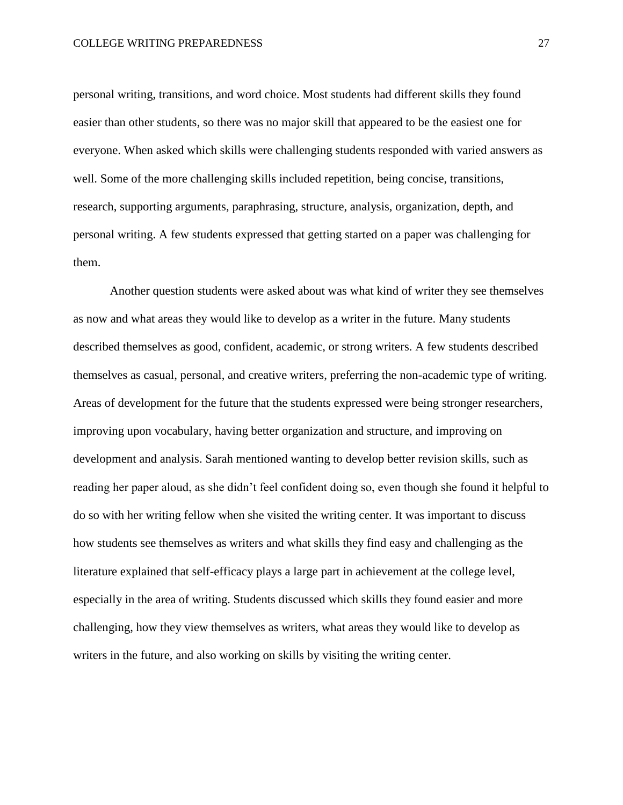personal writing, transitions, and word choice. Most students had different skills they found easier than other students, so there was no major skill that appeared to be the easiest one for everyone. When asked which skills were challenging students responded with varied answers as well. Some of the more challenging skills included repetition, being concise, transitions, research, supporting arguments, paraphrasing, structure, analysis, organization, depth, and personal writing. A few students expressed that getting started on a paper was challenging for them.

Another question students were asked about was what kind of writer they see themselves as now and what areas they would like to develop as a writer in the future. Many students described themselves as good, confident, academic, or strong writers. A few students described themselves as casual, personal, and creative writers, preferring the non-academic type of writing. Areas of development for the future that the students expressed were being stronger researchers, improving upon vocabulary, having better organization and structure, and improving on development and analysis. Sarah mentioned wanting to develop better revision skills, such as reading her paper aloud, as she didn't feel confident doing so, even though she found it helpful to do so with her writing fellow when she visited the writing center. It was important to discuss how students see themselves as writers and what skills they find easy and challenging as the literature explained that self-efficacy plays a large part in achievement at the college level, especially in the area of writing. Students discussed which skills they found easier and more challenging, how they view themselves as writers, what areas they would like to develop as writers in the future, and also working on skills by visiting the writing center.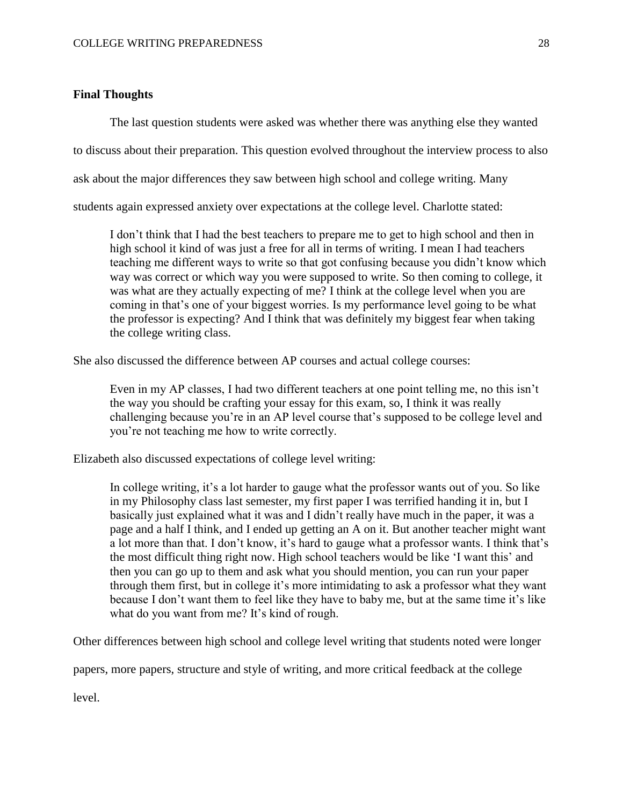# **Final Thoughts**

The last question students were asked was whether there was anything else they wanted

to discuss about their preparation. This question evolved throughout the interview process to also

ask about the major differences they saw between high school and college writing. Many

students again expressed anxiety over expectations at the college level. Charlotte stated:

I don't think that I had the best teachers to prepare me to get to high school and then in high school it kind of was just a free for all in terms of writing. I mean I had teachers teaching me different ways to write so that got confusing because you didn't know which way was correct or which way you were supposed to write. So then coming to college, it was what are they actually expecting of me? I think at the college level when you are coming in that's one of your biggest worries. Is my performance level going to be what the professor is expecting? And I think that was definitely my biggest fear when taking the college writing class.

She also discussed the difference between AP courses and actual college courses:

Even in my AP classes, I had two different teachers at one point telling me, no this isn't the way you should be crafting your essay for this exam, so, I think it was really challenging because you're in an AP level course that's supposed to be college level and you're not teaching me how to write correctly.

Elizabeth also discussed expectations of college level writing:

In college writing, it's a lot harder to gauge what the professor wants out of you. So like in my Philosophy class last semester, my first paper I was terrified handing it in, but I basically just explained what it was and I didn't really have much in the paper, it was a page and a half I think, and I ended up getting an A on it. But another teacher might want a lot more than that. I don't know, it's hard to gauge what a professor wants. I think that's the most difficult thing right now. High school teachers would be like 'I want this' and then you can go up to them and ask what you should mention, you can run your paper through them first, but in college it's more intimidating to ask a professor what they want because I don't want them to feel like they have to baby me, but at the same time it's like what do you want from me? It's kind of rough.

Other differences between high school and college level writing that students noted were longer

papers, more papers, structure and style of writing, and more critical feedback at the college

level.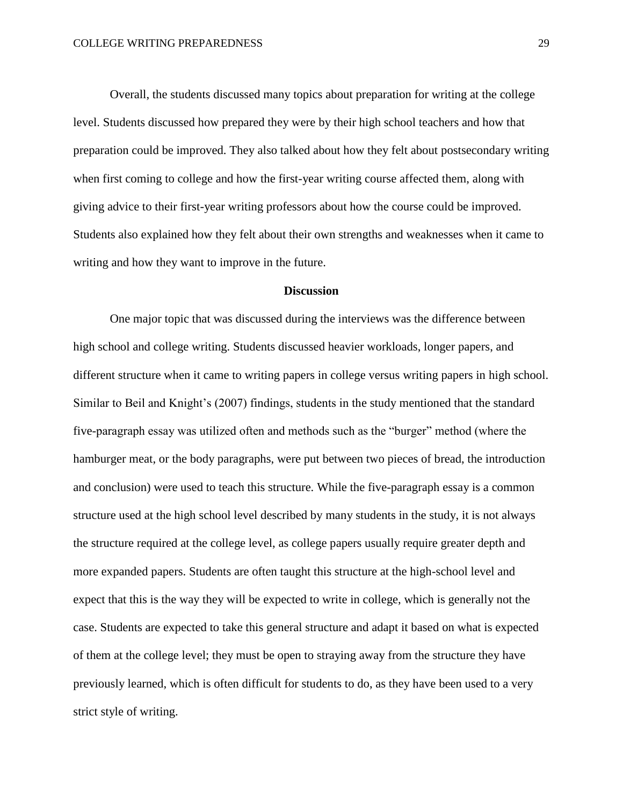Overall, the students discussed many topics about preparation for writing at the college level. Students discussed how prepared they were by their high school teachers and how that preparation could be improved. They also talked about how they felt about postsecondary writing when first coming to college and how the first-year writing course affected them, along with giving advice to their first-year writing professors about how the course could be improved. Students also explained how they felt about their own strengths and weaknesses when it came to writing and how they want to improve in the future.

## **Discussion**

One major topic that was discussed during the interviews was the difference between high school and college writing. Students discussed heavier workloads, longer papers, and different structure when it came to writing papers in college versus writing papers in high school. Similar to Beil and Knight's (2007) findings, students in the study mentioned that the standard five-paragraph essay was utilized often and methods such as the "burger" method (where the hamburger meat, or the body paragraphs, were put between two pieces of bread, the introduction and conclusion) were used to teach this structure. While the five-paragraph essay is a common structure used at the high school level described by many students in the study, it is not always the structure required at the college level, as college papers usually require greater depth and more expanded papers. Students are often taught this structure at the high-school level and expect that this is the way they will be expected to write in college, which is generally not the case. Students are expected to take this general structure and adapt it based on what is expected of them at the college level; they must be open to straying away from the structure they have previously learned, which is often difficult for students to do, as they have been used to a very strict style of writing.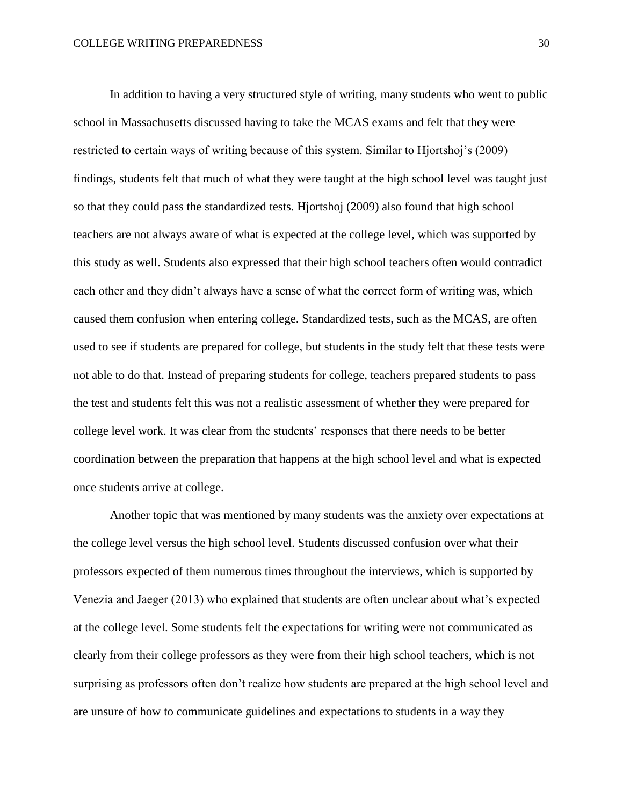In addition to having a very structured style of writing, many students who went to public school in Massachusetts discussed having to take the MCAS exams and felt that they were restricted to certain ways of writing because of this system. Similar to Hjortshoj's (2009) findings, students felt that much of what they were taught at the high school level was taught just so that they could pass the standardized tests. Hjortshoj (2009) also found that high school teachers are not always aware of what is expected at the college level, which was supported by this study as well. Students also expressed that their high school teachers often would contradict each other and they didn't always have a sense of what the correct form of writing was, which caused them confusion when entering college. Standardized tests, such as the MCAS, are often used to see if students are prepared for college, but students in the study felt that these tests were not able to do that. Instead of preparing students for college, teachers prepared students to pass the test and students felt this was not a realistic assessment of whether they were prepared for college level work. It was clear from the students' responses that there needs to be better coordination between the preparation that happens at the high school level and what is expected once students arrive at college.

Another topic that was mentioned by many students was the anxiety over expectations at the college level versus the high school level. Students discussed confusion over what their professors expected of them numerous times throughout the interviews, which is supported by Venezia and Jaeger (2013) who explained that students are often unclear about what's expected at the college level. Some students felt the expectations for writing were not communicated as clearly from their college professors as they were from their high school teachers, which is not surprising as professors often don't realize how students are prepared at the high school level and are unsure of how to communicate guidelines and expectations to students in a way they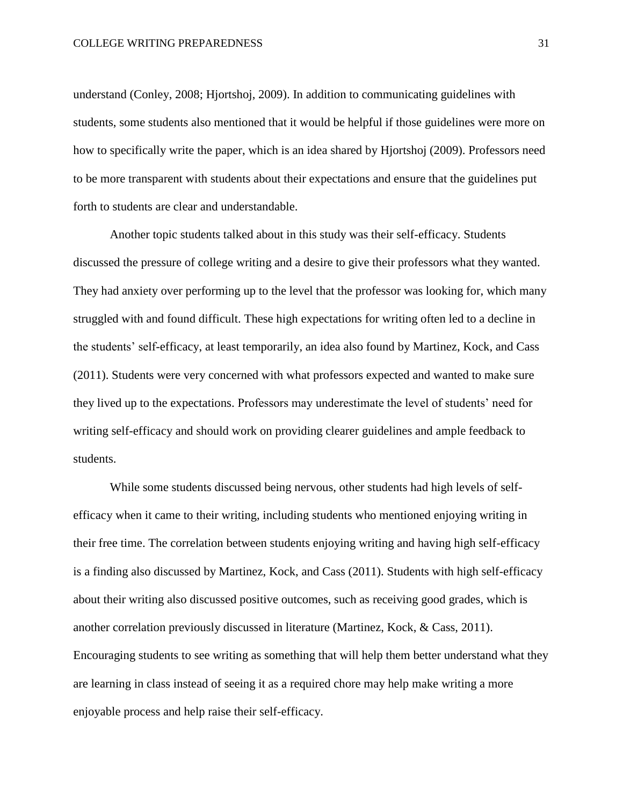understand (Conley, 2008; Hjortshoj, 2009). In addition to communicating guidelines with students, some students also mentioned that it would be helpful if those guidelines were more on how to specifically write the paper, which is an idea shared by Hjortshoj (2009). Professors need to be more transparent with students about their expectations and ensure that the guidelines put forth to students are clear and understandable.

Another topic students talked about in this study was their self-efficacy. Students discussed the pressure of college writing and a desire to give their professors what they wanted. They had anxiety over performing up to the level that the professor was looking for, which many struggled with and found difficult. These high expectations for writing often led to a decline in the students' self-efficacy, at least temporarily, an idea also found by Martinez, Kock, and Cass (2011). Students were very concerned with what professors expected and wanted to make sure they lived up to the expectations. Professors may underestimate the level of students' need for writing self-efficacy and should work on providing clearer guidelines and ample feedback to students.

While some students discussed being nervous, other students had high levels of selfefficacy when it came to their writing, including students who mentioned enjoying writing in their free time. The correlation between students enjoying writing and having high self-efficacy is a finding also discussed by Martinez, Kock, and Cass (2011). Students with high self-efficacy about their writing also discussed positive outcomes, such as receiving good grades, which is another correlation previously discussed in literature (Martinez, Kock, & Cass, 2011). Encouraging students to see writing as something that will help them better understand what they are learning in class instead of seeing it as a required chore may help make writing a more enjoyable process and help raise their self-efficacy.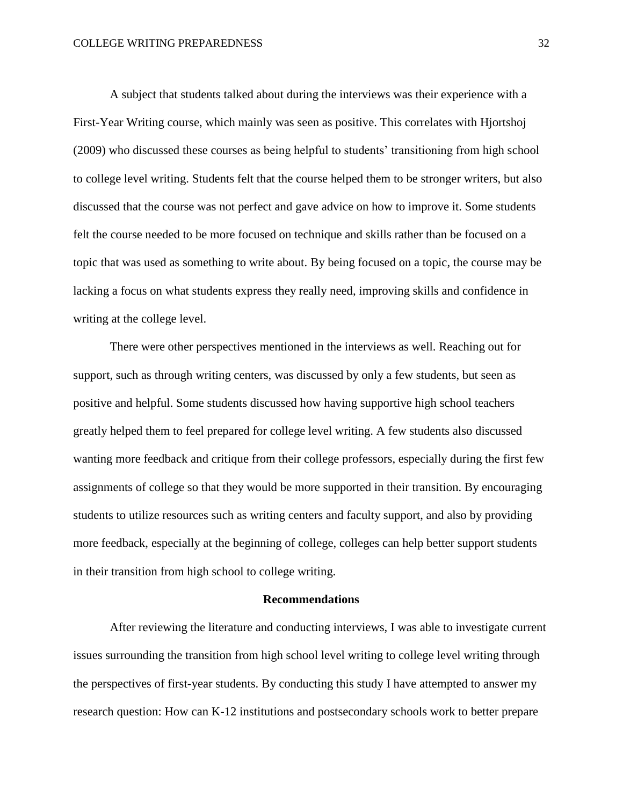A subject that students talked about during the interviews was their experience with a First-Year Writing course, which mainly was seen as positive. This correlates with Hjortshoj (2009) who discussed these courses as being helpful to students' transitioning from high school to college level writing. Students felt that the course helped them to be stronger writers, but also discussed that the course was not perfect and gave advice on how to improve it. Some students felt the course needed to be more focused on technique and skills rather than be focused on a topic that was used as something to write about. By being focused on a topic, the course may be lacking a focus on what students express they really need, improving skills and confidence in writing at the college level.

There were other perspectives mentioned in the interviews as well. Reaching out for support, such as through writing centers, was discussed by only a few students, but seen as positive and helpful. Some students discussed how having supportive high school teachers greatly helped them to feel prepared for college level writing. A few students also discussed wanting more feedback and critique from their college professors, especially during the first few assignments of college so that they would be more supported in their transition. By encouraging students to utilize resources such as writing centers and faculty support, and also by providing more feedback, especially at the beginning of college, colleges can help better support students in their transition from high school to college writing.

## **Recommendations**

After reviewing the literature and conducting interviews, I was able to investigate current issues surrounding the transition from high school level writing to college level writing through the perspectives of first-year students. By conducting this study I have attempted to answer my research question: How can K-12 institutions and postsecondary schools work to better prepare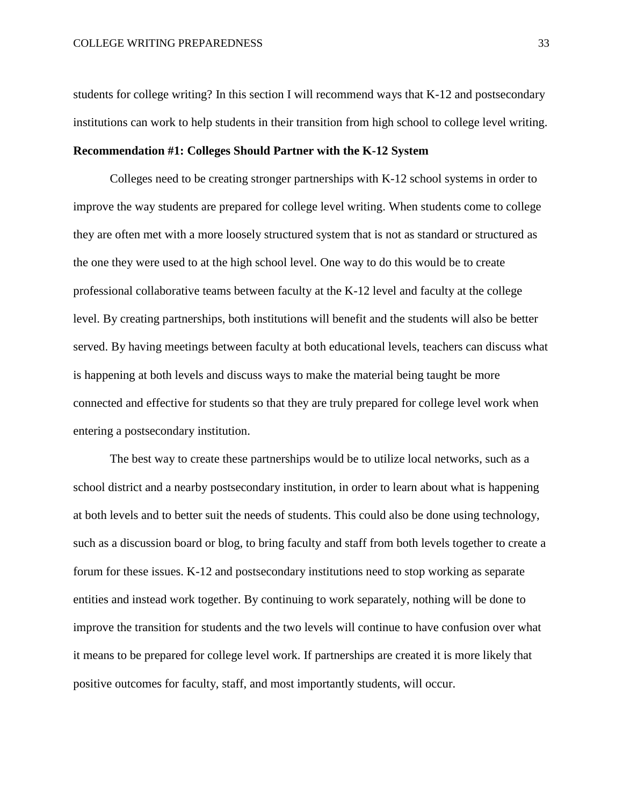students for college writing? In this section I will recommend ways that K-12 and postsecondary institutions can work to help students in their transition from high school to college level writing. **Recommendation #1: Colleges Should Partner with the K-12 System** 

Colleges need to be creating stronger partnerships with K-12 school systems in order to improve the way students are prepared for college level writing. When students come to college they are often met with a more loosely structured system that is not as standard or structured as the one they were used to at the high school level. One way to do this would be to create professional collaborative teams between faculty at the K-12 level and faculty at the college level. By creating partnerships, both institutions will benefit and the students will also be better served. By having meetings between faculty at both educational levels, teachers can discuss what is happening at both levels and discuss ways to make the material being taught be more connected and effective for students so that they are truly prepared for college level work when entering a postsecondary institution.

The best way to create these partnerships would be to utilize local networks, such as a school district and a nearby postsecondary institution, in order to learn about what is happening at both levels and to better suit the needs of students. This could also be done using technology, such as a discussion board or blog, to bring faculty and staff from both levels together to create a forum for these issues. K-12 and postsecondary institutions need to stop working as separate entities and instead work together. By continuing to work separately, nothing will be done to improve the transition for students and the two levels will continue to have confusion over what it means to be prepared for college level work. If partnerships are created it is more likely that positive outcomes for faculty, staff, and most importantly students, will occur.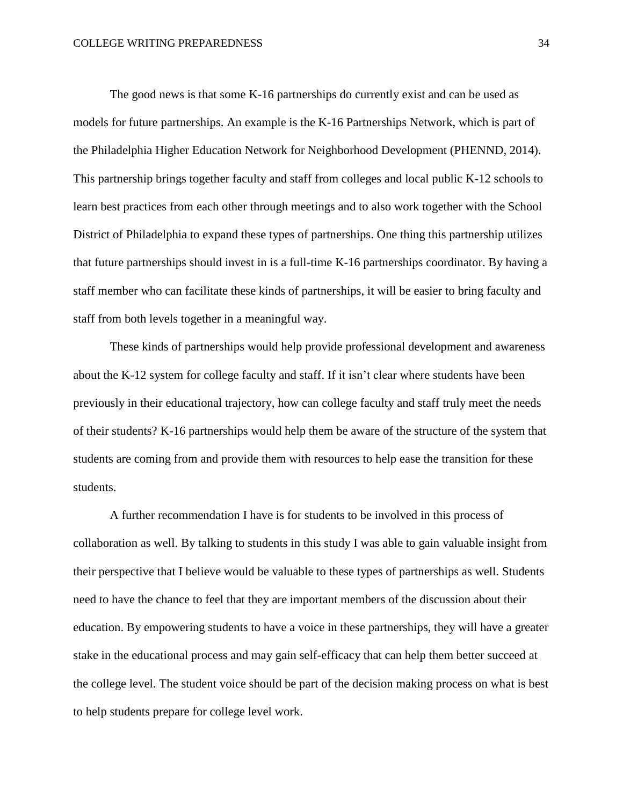The good news is that some K-16 partnerships do currently exist and can be used as models for future partnerships. An example is the K-16 Partnerships Network, which is part of the Philadelphia Higher Education Network for Neighborhood Development (PHENND, 2014). This partnership brings together faculty and staff from colleges and local public K-12 schools to learn best practices from each other through meetings and to also work together with the School District of Philadelphia to expand these types of partnerships. One thing this partnership utilizes that future partnerships should invest in is a full-time K-16 partnerships coordinator. By having a staff member who can facilitate these kinds of partnerships, it will be easier to bring faculty and staff from both levels together in a meaningful way.

These kinds of partnerships would help provide professional development and awareness about the K-12 system for college faculty and staff. If it isn't clear where students have been previously in their educational trajectory, how can college faculty and staff truly meet the needs of their students? K-16 partnerships would help them be aware of the structure of the system that students are coming from and provide them with resources to help ease the transition for these students.

A further recommendation I have is for students to be involved in this process of collaboration as well. By talking to students in this study I was able to gain valuable insight from their perspective that I believe would be valuable to these types of partnerships as well. Students need to have the chance to feel that they are important members of the discussion about their education. By empowering students to have a voice in these partnerships, they will have a greater stake in the educational process and may gain self-efficacy that can help them better succeed at the college level. The student voice should be part of the decision making process on what is best to help students prepare for college level work.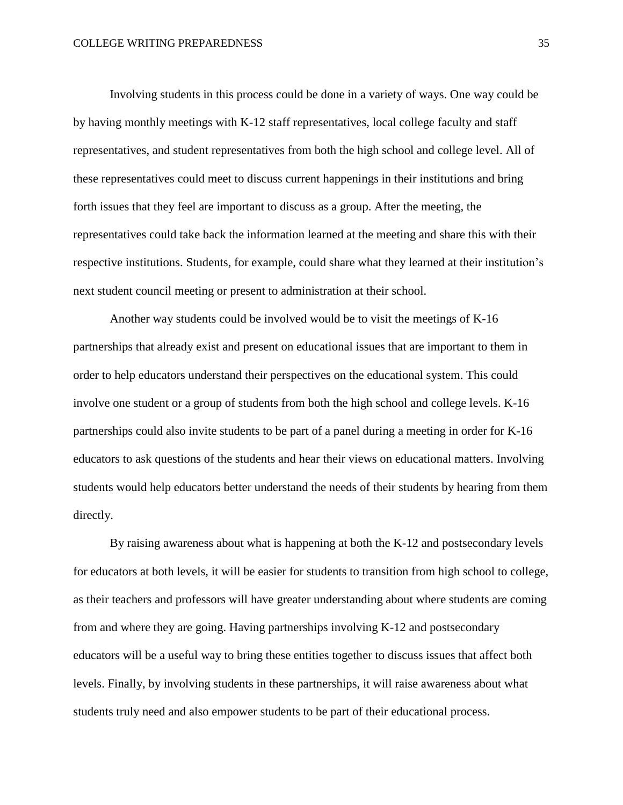Involving students in this process could be done in a variety of ways. One way could be by having monthly meetings with K-12 staff representatives, local college faculty and staff representatives, and student representatives from both the high school and college level. All of these representatives could meet to discuss current happenings in their institutions and bring forth issues that they feel are important to discuss as a group. After the meeting, the representatives could take back the information learned at the meeting and share this with their respective institutions. Students, for example, could share what they learned at their institution's next student council meeting or present to administration at their school.

Another way students could be involved would be to visit the meetings of K-16 partnerships that already exist and present on educational issues that are important to them in order to help educators understand their perspectives on the educational system. This could involve one student or a group of students from both the high school and college levels. K-16 partnerships could also invite students to be part of a panel during a meeting in order for K-16 educators to ask questions of the students and hear their views on educational matters. Involving students would help educators better understand the needs of their students by hearing from them directly.

By raising awareness about what is happening at both the K-12 and postsecondary levels for educators at both levels, it will be easier for students to transition from high school to college, as their teachers and professors will have greater understanding about where students are coming from and where they are going. Having partnerships involving K-12 and postsecondary educators will be a useful way to bring these entities together to discuss issues that affect both levels. Finally, by involving students in these partnerships, it will raise awareness about what students truly need and also empower students to be part of their educational process.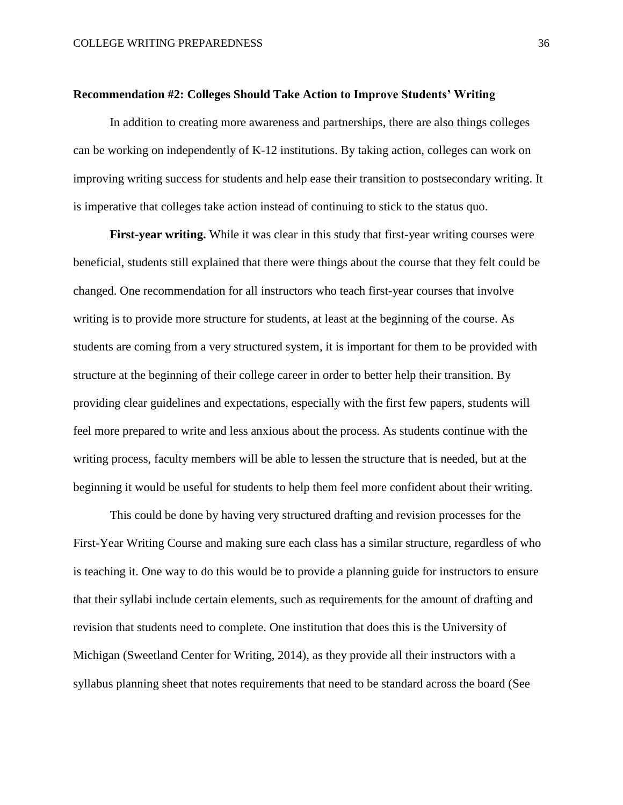#### **Recommendation #2: Colleges Should Take Action to Improve Students' Writing**

In addition to creating more awareness and partnerships, there are also things colleges can be working on independently of K-12 institutions. By taking action, colleges can work on improving writing success for students and help ease their transition to postsecondary writing. It is imperative that colleges take action instead of continuing to stick to the status quo.

**First-year writing.** While it was clear in this study that first-year writing courses were beneficial, students still explained that there were things about the course that they felt could be changed. One recommendation for all instructors who teach first-year courses that involve writing is to provide more structure for students, at least at the beginning of the course. As students are coming from a very structured system, it is important for them to be provided with structure at the beginning of their college career in order to better help their transition. By providing clear guidelines and expectations, especially with the first few papers, students will feel more prepared to write and less anxious about the process. As students continue with the writing process, faculty members will be able to lessen the structure that is needed, but at the beginning it would be useful for students to help them feel more confident about their writing.

This could be done by having very structured drafting and revision processes for the First-Year Writing Course and making sure each class has a similar structure, regardless of who is teaching it. One way to do this would be to provide a planning guide for instructors to ensure that their syllabi include certain elements, such as requirements for the amount of drafting and revision that students need to complete. One institution that does this is the University of Michigan (Sweetland Center for Writing, 2014), as they provide all their instructors with a syllabus planning sheet that notes requirements that need to be standard across the board (See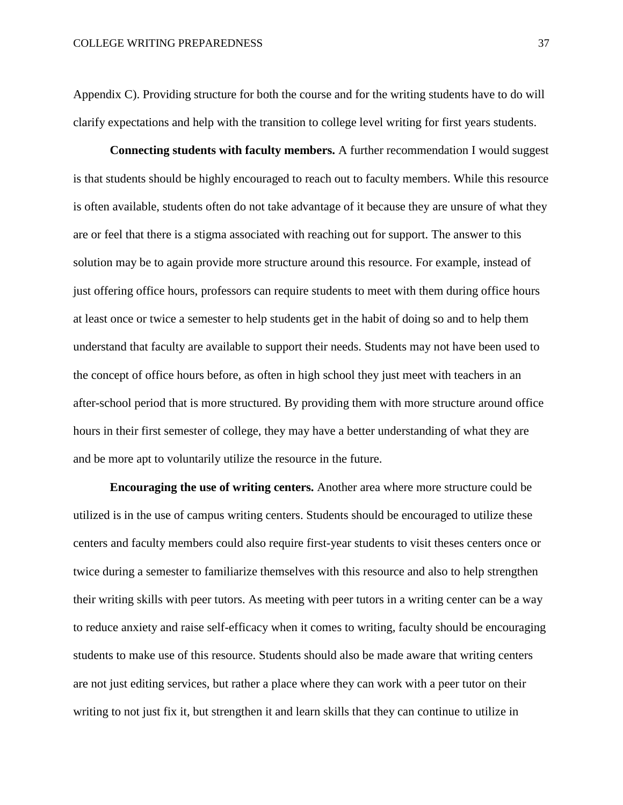Appendix C). Providing structure for both the course and for the writing students have to do will clarify expectations and help with the transition to college level writing for first years students.

**Connecting students with faculty members.** A further recommendation I would suggest is that students should be highly encouraged to reach out to faculty members. While this resource is often available, students often do not take advantage of it because they are unsure of what they are or feel that there is a stigma associated with reaching out for support. The answer to this solution may be to again provide more structure around this resource. For example, instead of just offering office hours, professors can require students to meet with them during office hours at least once or twice a semester to help students get in the habit of doing so and to help them understand that faculty are available to support their needs. Students may not have been used to the concept of office hours before, as often in high school they just meet with teachers in an after-school period that is more structured. By providing them with more structure around office hours in their first semester of college, they may have a better understanding of what they are and be more apt to voluntarily utilize the resource in the future.

**Encouraging the use of writing centers.** Another area where more structure could be utilized is in the use of campus writing centers. Students should be encouraged to utilize these centers and faculty members could also require first-year students to visit theses centers once or twice during a semester to familiarize themselves with this resource and also to help strengthen their writing skills with peer tutors. As meeting with peer tutors in a writing center can be a way to reduce anxiety and raise self-efficacy when it comes to writing, faculty should be encouraging students to make use of this resource. Students should also be made aware that writing centers are not just editing services, but rather a place where they can work with a peer tutor on their writing to not just fix it, but strengthen it and learn skills that they can continue to utilize in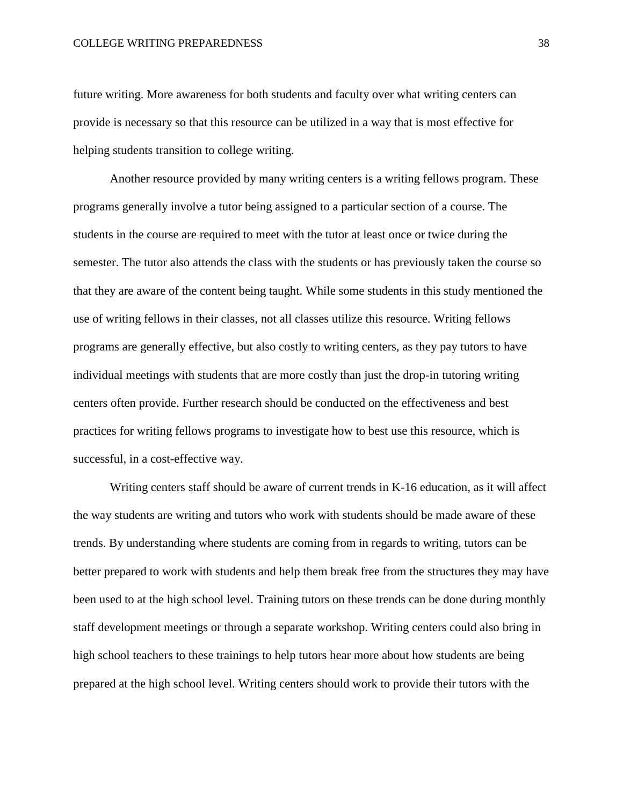future writing. More awareness for both students and faculty over what writing centers can provide is necessary so that this resource can be utilized in a way that is most effective for helping students transition to college writing.

Another resource provided by many writing centers is a writing fellows program. These programs generally involve a tutor being assigned to a particular section of a course. The students in the course are required to meet with the tutor at least once or twice during the semester. The tutor also attends the class with the students or has previously taken the course so that they are aware of the content being taught. While some students in this study mentioned the use of writing fellows in their classes, not all classes utilize this resource. Writing fellows programs are generally effective, but also costly to writing centers, as they pay tutors to have individual meetings with students that are more costly than just the drop-in tutoring writing centers often provide. Further research should be conducted on the effectiveness and best practices for writing fellows programs to investigate how to best use this resource, which is successful, in a cost-effective way.

Writing centers staff should be aware of current trends in K-16 education, as it will affect the way students are writing and tutors who work with students should be made aware of these trends. By understanding where students are coming from in regards to writing, tutors can be better prepared to work with students and help them break free from the structures they may have been used to at the high school level. Training tutors on these trends can be done during monthly staff development meetings or through a separate workshop. Writing centers could also bring in high school teachers to these trainings to help tutors hear more about how students are being prepared at the high school level. Writing centers should work to provide their tutors with the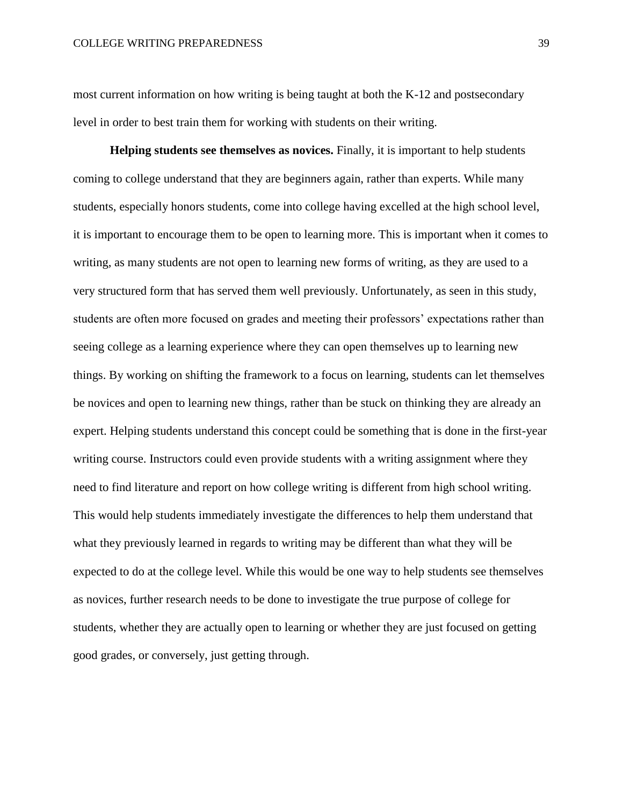most current information on how writing is being taught at both the K-12 and postsecondary level in order to best train them for working with students on their writing.

**Helping students see themselves as novices.** Finally, it is important to help students coming to college understand that they are beginners again, rather than experts. While many students, especially honors students, come into college having excelled at the high school level, it is important to encourage them to be open to learning more. This is important when it comes to writing, as many students are not open to learning new forms of writing, as they are used to a very structured form that has served them well previously. Unfortunately, as seen in this study, students are often more focused on grades and meeting their professors' expectations rather than seeing college as a learning experience where they can open themselves up to learning new things. By working on shifting the framework to a focus on learning, students can let themselves be novices and open to learning new things, rather than be stuck on thinking they are already an expert. Helping students understand this concept could be something that is done in the first-year writing course. Instructors could even provide students with a writing assignment where they need to find literature and report on how college writing is different from high school writing. This would help students immediately investigate the differences to help them understand that what they previously learned in regards to writing may be different than what they will be expected to do at the college level. While this would be one way to help students see themselves as novices, further research needs to be done to investigate the true purpose of college for students, whether they are actually open to learning or whether they are just focused on getting good grades, or conversely, just getting through.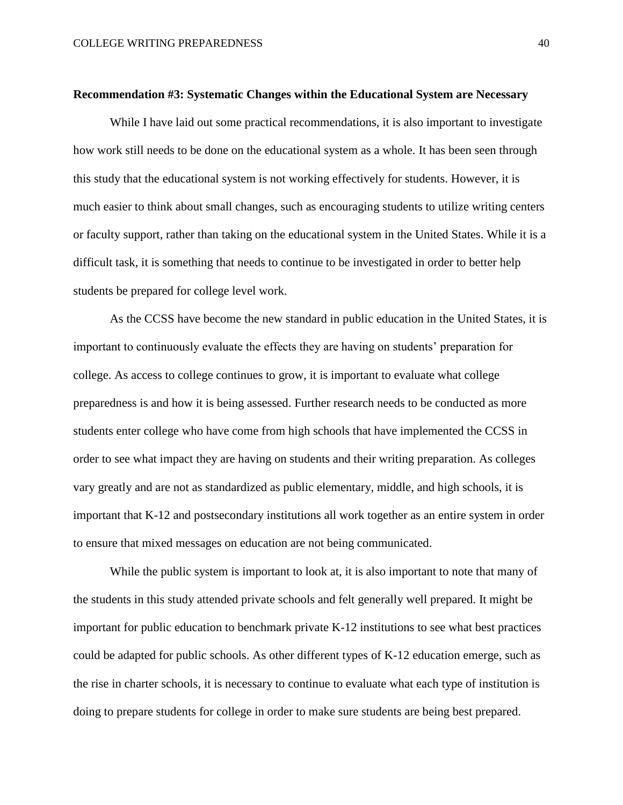#### **Recommendation #3: Systematic Changes within the Educational System are Necessary**

While I have laid out some practical recommendations, it is also important to investigate how work still needs to be done on the educational system as a whole. It has been seen through this study that the educational system is not working effectively for students. However, it is much easier to think about small changes, such as encouraging students to utilize writing centers or faculty support, rather than taking on the educational system in the United States. While it is a difficult task, it is something that needs to continue to be investigated in order to better help students be prepared for college level work.

As the CCSS have become the new standard in public education in the United States, it is important to continuously evaluate the effects they are having on students' preparation for college. As access to college continues to grow, it is important to evaluate what college preparedness is and how it is being assessed. Further research needs to be conducted as more students enter college who have come from high schools that have implemented the CCSS in order to see what impact they are having on students and their writing preparation. As colleges vary greatly and are not as standardized as public elementary, middle, and high schools, it is important that K-12 and postsecondary institutions all work together as an entire system in order to ensure that mixed messages on education are not being communicated.

While the public system is important to look at, it is also important to note that many of the students in this study attended private schools and felt generally well prepared. It might be important for public education to benchmark private K-12 institutions to see what best practices could be adapted for public schools. As other different types of K-12 education emerge, such as the rise in charter schools, it is necessary to continue to evaluate what each type of institution is doing to prepare students for college in order to make sure students are being best prepared.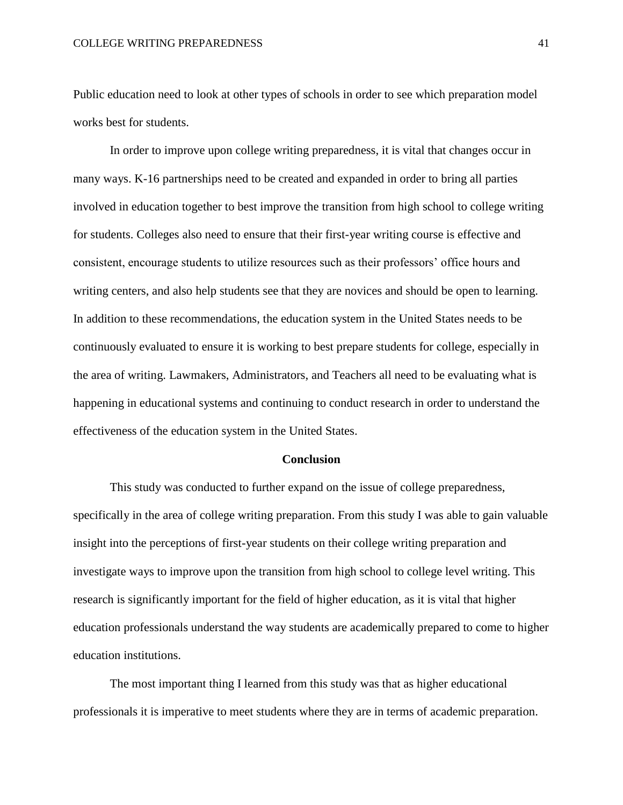#### COLLEGE WRITING PREPAREDNESS 41

Public education need to look at other types of schools in order to see which preparation model works best for students.

In order to improve upon college writing preparedness, it is vital that changes occur in many ways. K-16 partnerships need to be created and expanded in order to bring all parties involved in education together to best improve the transition from high school to college writing for students. Colleges also need to ensure that their first-year writing course is effective and consistent, encourage students to utilize resources such as their professors' office hours and writing centers, and also help students see that they are novices and should be open to learning. In addition to these recommendations, the education system in the United States needs to be continuously evaluated to ensure it is working to best prepare students for college, especially in the area of writing. Lawmakers, Administrators, and Teachers all need to be evaluating what is happening in educational systems and continuing to conduct research in order to understand the effectiveness of the education system in the United States.

## **Conclusion**

This study was conducted to further expand on the issue of college preparedness, specifically in the area of college writing preparation. From this study I was able to gain valuable insight into the perceptions of first-year students on their college writing preparation and investigate ways to improve upon the transition from high school to college level writing. This research is significantly important for the field of higher education, as it is vital that higher education professionals understand the way students are academically prepared to come to higher education institutions.

The most important thing I learned from this study was that as higher educational professionals it is imperative to meet students where they are in terms of academic preparation.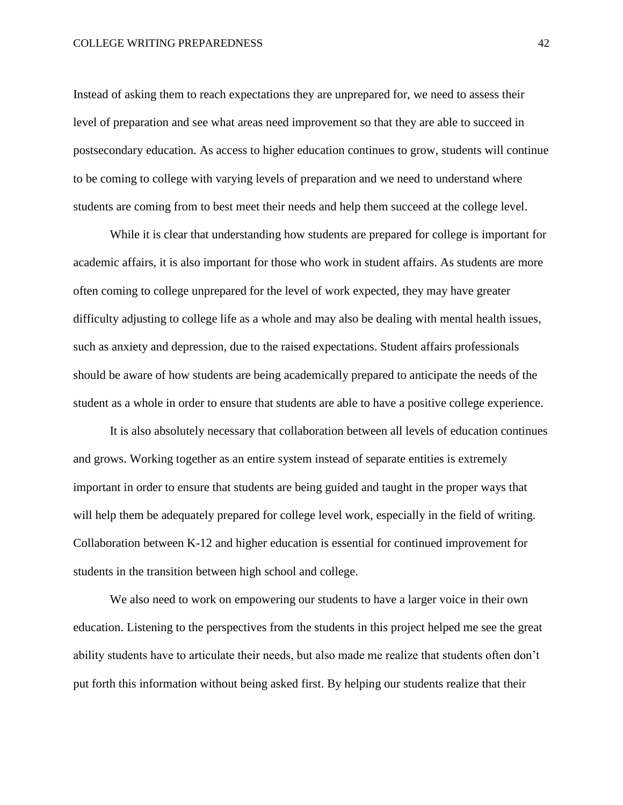Instead of asking them to reach expectations they are unprepared for, we need to assess their level of preparation and see what areas need improvement so that they are able to succeed in postsecondary education. As access to higher education continues to grow, students will continue to be coming to college with varying levels of preparation and we need to understand where students are coming from to best meet their needs and help them succeed at the college level.

While it is clear that understanding how students are prepared for college is important for academic affairs, it is also important for those who work in student affairs. As students are more often coming to college unprepared for the level of work expected, they may have greater difficulty adjusting to college life as a whole and may also be dealing with mental health issues, such as anxiety and depression, due to the raised expectations. Student affairs professionals should be aware of how students are being academically prepared to anticipate the needs of the student as a whole in order to ensure that students are able to have a positive college experience.

It is also absolutely necessary that collaboration between all levels of education continues and grows. Working together as an entire system instead of separate entities is extremely important in order to ensure that students are being guided and taught in the proper ways that will help them be adequately prepared for college level work, especially in the field of writing. Collaboration between K-12 and higher education is essential for continued improvement for students in the transition between high school and college.

We also need to work on empowering our students to have a larger voice in their own education. Listening to the perspectives from the students in this project helped me see the great ability students have to articulate their needs, but also made me realize that students often don't put forth this information without being asked first. By helping our students realize that their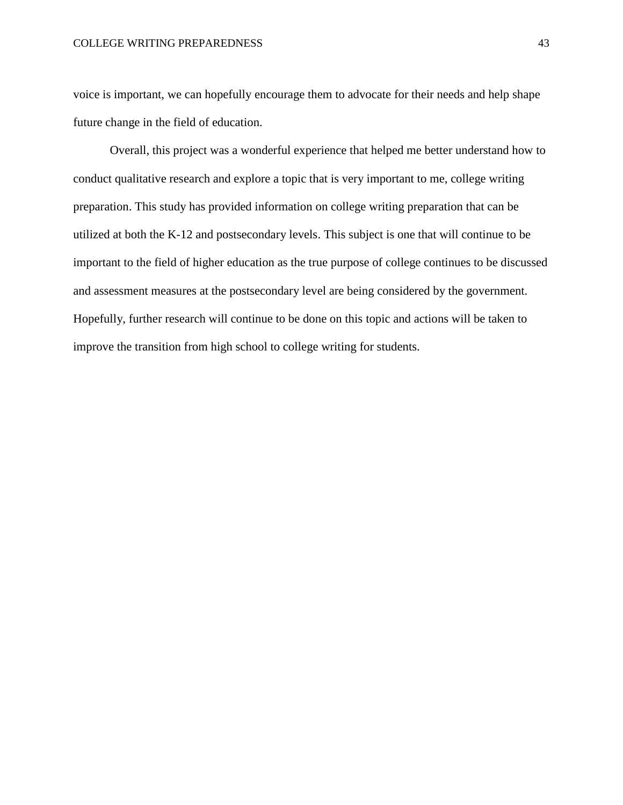#### COLLEGE WRITING PREPAREDNESS 43

voice is important, we can hopefully encourage them to advocate for their needs and help shape future change in the field of education.

Overall, this project was a wonderful experience that helped me better understand how to conduct qualitative research and explore a topic that is very important to me, college writing preparation. This study has provided information on college writing preparation that can be utilized at both the K-12 and postsecondary levels. This subject is one that will continue to be important to the field of higher education as the true purpose of college continues to be discussed and assessment measures at the postsecondary level are being considered by the government. Hopefully, further research will continue to be done on this topic and actions will be taken to improve the transition from high school to college writing for students.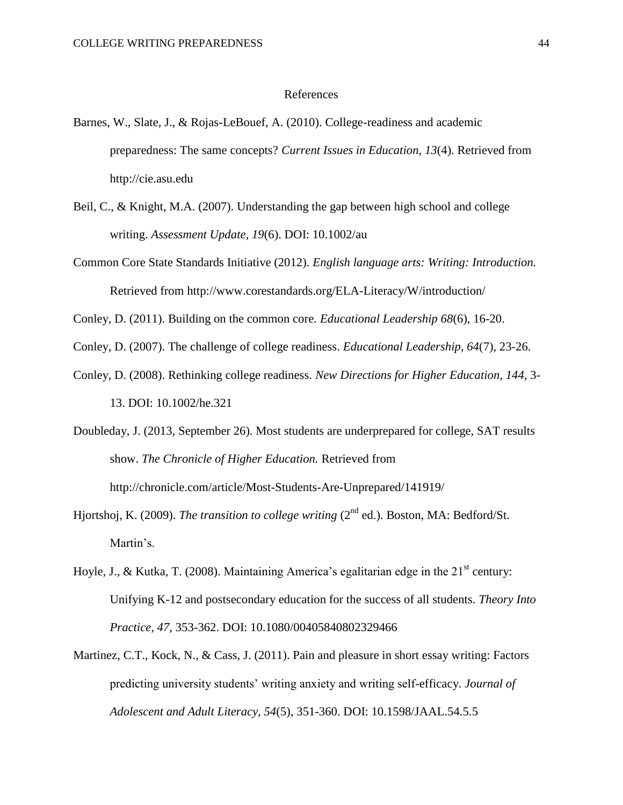#### References

- Barnes, W., Slate, J., & Rojas-LeBouef, A. (2010). College-readiness and academic preparedness: The same concepts? *Current Issues in Education*, *13*(4). Retrieved from http://cie.asu.edu
- Beil, C., & Knight, M.A. (2007). Understanding the gap between high school and college writing. *Assessment Update, 19*(6). DOI: 10.1002/au
- Common Core State Standards Initiative (2012). *English language arts: Writing: Introduction.* Retrieved from http://www.corestandards.org/ELA-Literacy/W/introduction/

Conley, D. (2011). Building on the common core. *Educational Leadership 68*(6), 16-20.

Conley, D. (2007). The challenge of college readiness. *Educational Leadership, 64*(7), 23-26.

Conley, D. (2008). Rethinking college readiness. *New Directions for Higher Education, 144*, 3- 13. DOI: 10.1002/he.321

Doubleday, J. (2013, September 26). Most students are underprepared for college, SAT results show. *The Chronicle of Higher Education.* Retrieved from http://chronicle.com/article/Most-Students-Are-Unprepared/141919/

Hjortshoj, K. (2009). *The transition to college writing* (2<sup>nd</sup> ed.). Boston, MA: Bedford/St. Martin's.

- Hoyle, J., & Kutka, T. (2008). Maintaining America's egalitarian edge in the  $21<sup>st</sup>$  century: Unifying K-12 and postsecondary education for the success of all students. *Theory Into Practice, 47*, 353-362. DOI: 10.1080/00405840802329466
- Martinez, C.T., Kock, N., & Cass, J. (2011). Pain and pleasure in short essay writing: Factors predicting university students' writing anxiety and writing self-efficacy. *Journal of Adolescent and Adult Literacy, 54*(5), 351-360. DOI: 10.1598/JAAL.54.5.5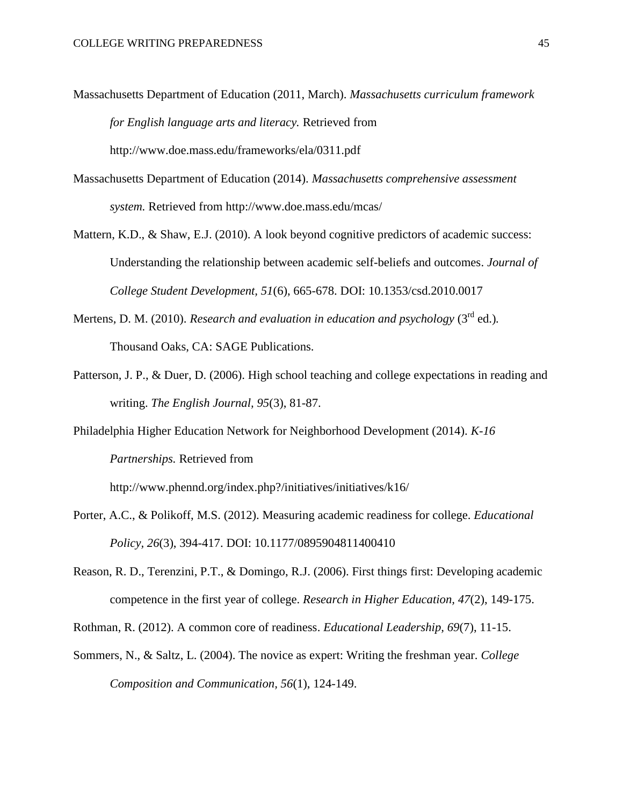- Massachusetts Department of Education (2011, March). *Massachusetts curriculum framework for English language arts and literacy.* Retrieved from http://www.doe.mass.edu/frameworks/ela/0311.pdf
- Massachusetts Department of Education (2014). *Massachusetts comprehensive assessment system.* Retrieved from http://www.doe.mass.edu/mcas/
- Mattern, K.D., & Shaw, E.J. (2010). A look beyond cognitive predictors of academic success: Understanding the relationship between academic self-beliefs and outcomes. *Journal of College Student Development, 51*(6), 665-678. DOI: 10.1353/csd.2010.0017
- Mertens, D. M. (2010). *Research and evaluation in education and psychology* (3<sup>rd</sup> ed.). Thousand Oaks, CA: SAGE Publications.
- Patterson, J. P., & Duer, D. (2006). High school teaching and college expectations in reading and writing. *The English Journal, 95*(3), 81-87.

Philadelphia Higher Education Network for Neighborhood Development (2014). *K-16 Partnerships.* Retrieved from

http://www.phennd.org/index.php?/initiatives/initiatives/k16/

- Porter, A.C., & Polikoff, M.S. (2012). Measuring academic readiness for college. *Educational Policy, 26*(3), 394-417. DOI: 10.1177/0895904811400410
- Reason, R. D., Terenzini, P.T., & Domingo, R.J. (2006). First things first: Developing academic competence in the first year of college. *Research in Higher Education, 47*(2), 149-175.

Rothman, R. (2012). A common core of readiness. *Educational Leadership, 69*(7), 11-15.

Sommers, N., & Saltz, L. (2004). The novice as expert: Writing the freshman year. *College Composition and Communication, 56*(1), 124-149.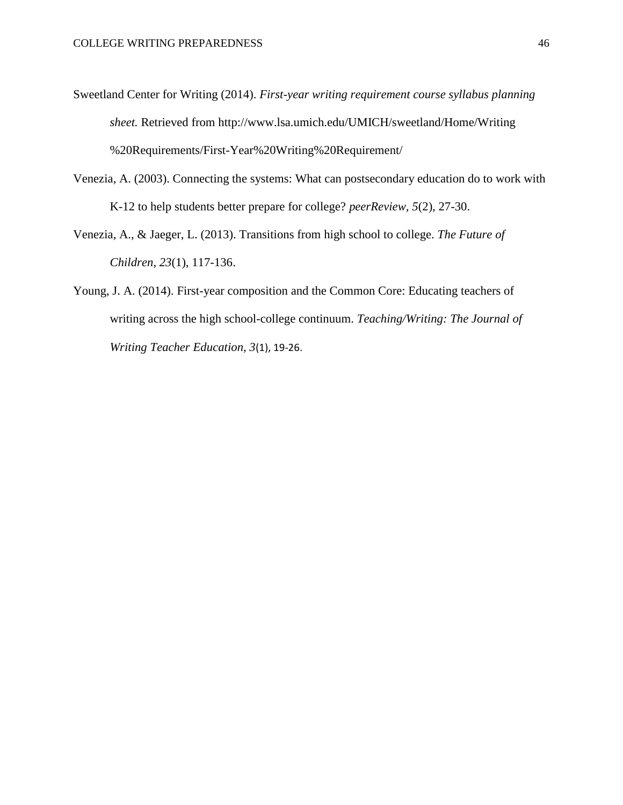- Sweetland Center for Writing (2014). *First-year writing requirement course syllabus planning sheet.* Retrieved from http://www.lsa.umich.edu/UMICH/sweetland/Home/Writing %20Requirements/First-Year%20Writing%20Requirement/
- Venezia, A. (2003). Connecting the systems: What can postsecondary education do to work with K-12 to help students better prepare for college? *peerReview, 5*(2), 27-30.
- Venezia, A., & Jaeger, L. (2013). Transitions from high school to college. *The Future of Children, 23*(1), 117-136.
- Young, J. A. (2014). First-year composition and the Common Core: Educating teachers of writing across the high school-college continuum. *Teaching/Writing: The Journal of Writing Teacher Education, 3*(1), 19-26.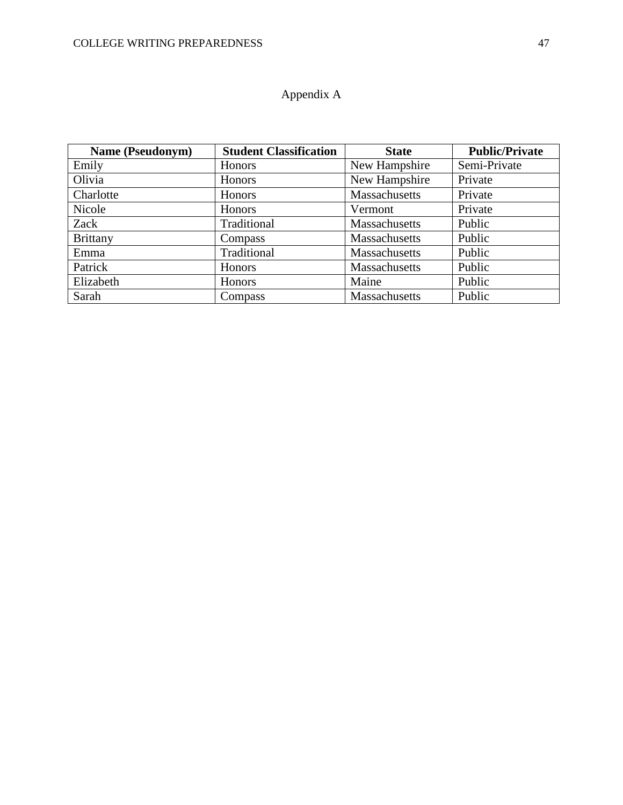# Appendix A

| <b>Name (Pseudonym)</b> | <b>Student Classification</b> | <b>State</b>  | <b>Public/Private</b> |
|-------------------------|-------------------------------|---------------|-----------------------|
| Emily                   | Honors                        | New Hampshire | Semi-Private          |
| Olivia                  | Honors                        | New Hampshire | Private               |
| Charlotte               | Honors                        | Massachusetts | Private               |
| Nicole                  | Honors                        | Vermont       | Private               |
| Zack                    | Traditional                   | Massachusetts | Public                |
| <b>Brittany</b>         | Compass                       | Massachusetts | Public                |
| Emma                    | Traditional                   | Massachusetts | Public                |
| Patrick                 | <b>Honors</b>                 | Massachusetts | Public                |
| Elizabeth               | Honors                        | Maine         | Public                |
| Sarah                   | Compass                       | Massachusetts | Public                |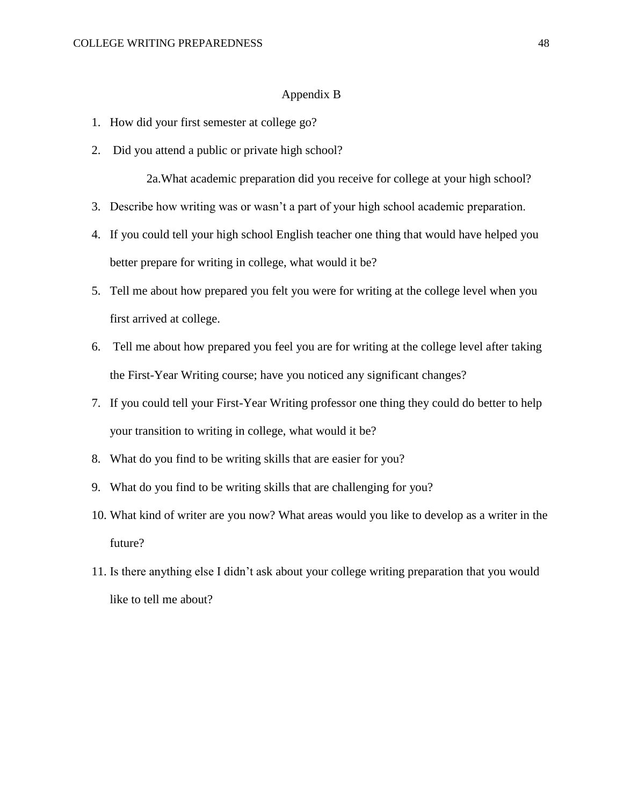#### Appendix B

- 1. How did your first semester at college go?
- 2. Did you attend a public or private high school?

2a.What academic preparation did you receive for college at your high school?

- 3. Describe how writing was or wasn't a part of your high school academic preparation.
- 4. If you could tell your high school English teacher one thing that would have helped you better prepare for writing in college, what would it be?
- 5. Tell me about how prepared you felt you were for writing at the college level when you first arrived at college.
- 6. Tell me about how prepared you feel you are for writing at the college level after taking the First-Year Writing course; have you noticed any significant changes?
- 7. If you could tell your First-Year Writing professor one thing they could do better to help your transition to writing in college, what would it be?
- 8. What do you find to be writing skills that are easier for you?
- 9. What do you find to be writing skills that are challenging for you?
- 10. What kind of writer are you now? What areas would you like to develop as a writer in the future?
- 11. Is there anything else I didn't ask about your college writing preparation that you would like to tell me about?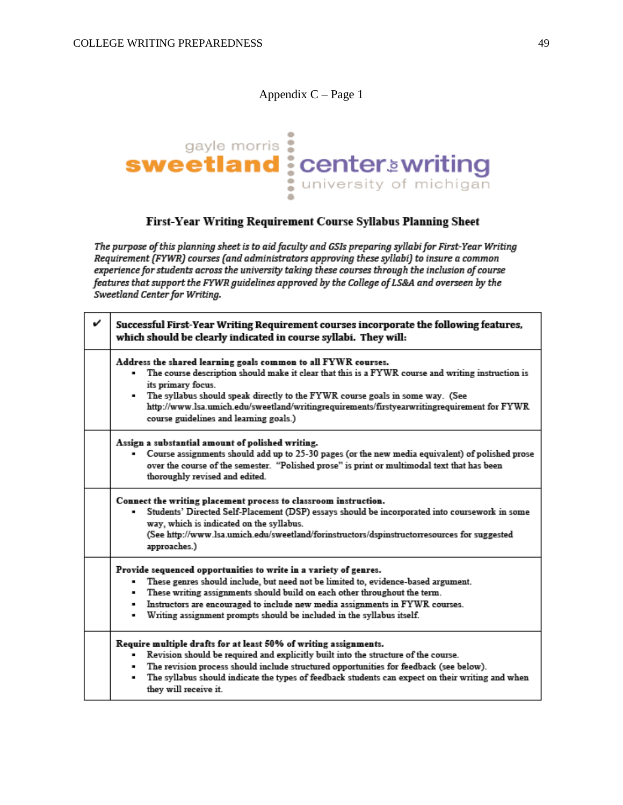# Appendix C – Page 1



# First-Year Writing Requirement Course Syllabus Planning Sheet

The purpose of this planning sheet is to aid faculty and GSIs preparing syllabi for First-Year Writing Requirement (FYWR) courses (and administrators approving these syllabi) to insure a common experience for students across the university taking these courses through the inclusion of course features that support the FYWR guidelines approved by the College of LS&A and overseen by the Sweetland Center for Writing.

| v | Successful First-Year Writing Requirement courses incorporate the following features,<br>which should be clearly indicated in course syllabi. They will:                                                                                                                                                                                                                                                             |
|---|----------------------------------------------------------------------------------------------------------------------------------------------------------------------------------------------------------------------------------------------------------------------------------------------------------------------------------------------------------------------------------------------------------------------|
|   | Address the shared learning goals common to all FYWR courses.<br>The course description should make it clear that this is a FYWR course and writing instruction is<br>its primary focus.<br>. The syllabus should speak directly to the FYWR course goals in some way. (See<br>http://www.lsa.umich.edu/sweetland/writingrequirements/firstyearwritingrequirement for FYWR<br>course guidelines and learning goals.) |
|   | Assign a substantial amount of polished writing.<br>Course assignments should add up to 25-30 pages (or the new media equivalent) of polished prose<br>over the course of the semester. "Polished prose" is print or multimodal text that has been<br>thoroughly revised and edited.                                                                                                                                 |
|   | Connect the writing placement process to classroom instruction.<br>Students' Directed Self-Placement (DSP) essays should be incorporated into coursework in some<br>٠<br>way, which is indicated on the syllabus.<br>(See http://www.lsa.umich.edu/sweetland/forinstructors/dspinstructorresources for suggested<br>approaches.)                                                                                     |
|   | Provide sequenced opportunities to write in a variety of genres.<br>These genres should include, but need not be limited to, evidence-based argument.<br>These writing assignments should build on each other throughout the term.<br>٠<br>Instructors are encouraged to include new media assignments in FYWR courses.<br>Writing assignment prompts should be included in the syllabus itself.                     |
|   | Require multiple drafts for at least 50% of writing assignments.<br>Revision should be required and explicitly built into the structure of the course.<br>The revision process should include structured opportunities for feedback (see below).<br>٠<br>The syllabus should indicate the types of feedback students can expect on their writing and when<br>٠<br>they will receive it.                              |